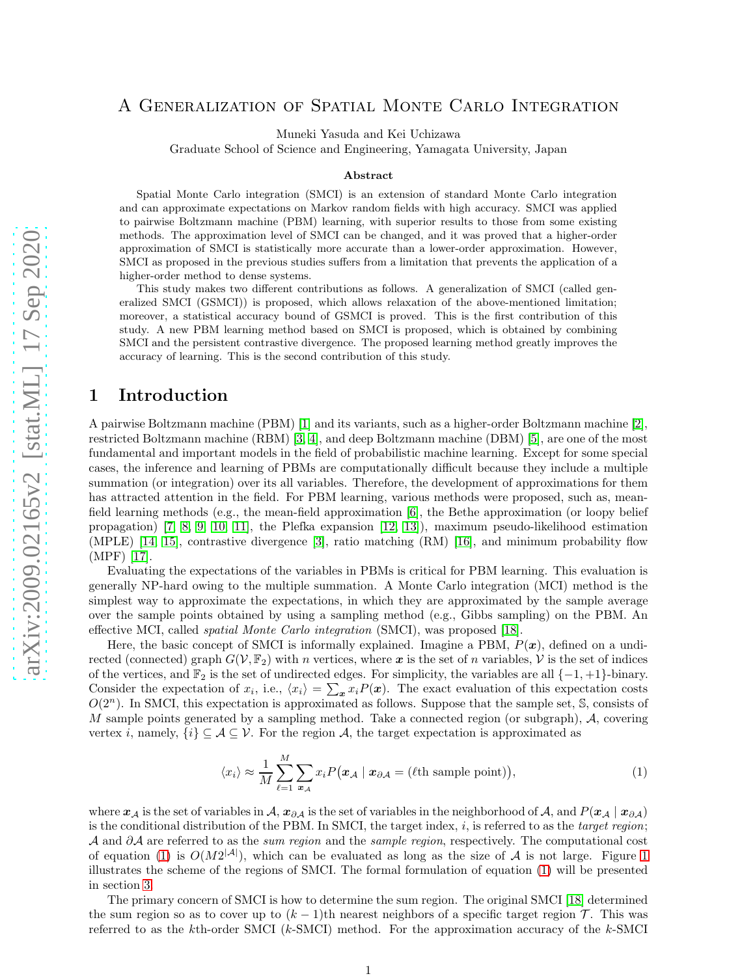# A Generalization of Spatial Monte Carlo Integration

Muneki Yasuda and Kei Uchizawa

Graduate School of Science and Engineering, Yamagata University, Japan

#### Abstract

Spatial Monte Carlo integration (SMCI) is an extension of standard Monte Carlo integration and can approximate expectations on Markov random fields with high accuracy. SMCI was applied to pairwise Boltzmann machine (PBM) learning, with superior results to those from some existing methods. The approximation level of SMCI can be changed, and it was proved that a higher-order approximation of SMCI is statistically more accurate than a lower-order approximation. However, SMCI as proposed in the previous studies suffers from a limitation that prevents the application of a higher-order method to dense systems.

This study makes two different contributions as follows. A generalization of SMCI (called generalized SMCI (GSMCI)) is proposed, which allows relaxation of the above-mentioned limitation; moreover, a statistical accuracy bound of GSMCI is proved. This is the first contribution of this study. A new PBM learning method based on SMCI is proposed, which is obtained by combining SMCI and the persistent contrastive divergence. The proposed learning method greatly improves the accuracy of learning. This is the second contribution of this study.

# 1 Introduction

A pairwise Boltzmann machine (PBM) [\[1\]](#page-14-0) and its variants, such as a higher-order Boltzmann machine [\[2\]](#page-14-1), restricted Boltzmann machine (RBM) [\[3,](#page-14-2) [4\]](#page-14-3), and deep Boltzmann machine (DBM) [\[5\]](#page-14-4), are one of the most fundamental and important models in the field of probabilistic machine learning. Except for some special cases, the inference and learning of PBMs are computationally difficult because they include a multiple summation (or integration) over its all variables. Therefore, the development of approximations for them has attracted attention in the field. For PBM learning, various methods were proposed, such as, meanfield learning methods (e.g., the mean-field approximation [\[6\]](#page-14-5), the Bethe approximation (or loopy belief propagation) [\[7,](#page-14-6) [8,](#page-14-7) [9,](#page-14-8) [10,](#page-14-9) [11\]](#page-14-10), the Plefka expansion [\[12,](#page-14-11) [13\]](#page-14-12)), maximum pseudo-likelihood estimation (MPLE) [\[14,](#page-14-13) [15\]](#page-14-14), contrastive divergence [\[3\]](#page-14-2), ratio matching (RM) [\[16\]](#page-14-15), and minimum probability flow (MPF) [\[17\]](#page-15-0).

Evaluating the expectations of the variables in PBMs is critical for PBM learning. This evaluation is generally NP-hard owing to the multiple summation. A Monte Carlo integration (MCI) method is the simplest way to approximate the expectations, in which they are approximated by the sample average over the sample points obtained by using a sampling method (e.g., Gibbs sampling) on the PBM. An effective MCI, called *spatial Monte Carlo integration* (SMCI), was proposed [\[18\]](#page-15-1).

Here, the basic concept of SMCI is informally explained. Imagine a PBM,  $P(x)$ , defined on a undirected (connected) graph  $G(V, \mathbb{F}_2)$  with n vertices, where x is the set of n variables, V is the set of indices of the vertices, and  $\mathbb{F}_2$  is the set of undirected edges. For simplicity, the variables are all  $\{-1, +1\}$ -binary. Consider the expectation of  $x_i$ , i.e.,  $\langle x_i \rangle = \sum_{\mathbf{x}} x_i P(\mathbf{x})$ . The exact evaluation of this expectation costs  $O(2<sup>n</sup>)$ . In SMCI, this expectation is approximated as follows. Suppose that the sample set, S, consists of M sample points generated by a sampling method. Take a connected region (or subgraph), A, covering vertex i, namely,  $\{i\} \subseteq \mathcal{A} \subseteq \mathcal{V}$ . For the region  $\mathcal{A}$ , the target expectation is approximated as

<span id="page-0-0"></span>
$$
\langle x_i \rangle \approx \frac{1}{M} \sum_{\ell=1}^{M} \sum_{x_{\mathcal{A}}} x_i P\big(x_{\mathcal{A}} \mid x_{\partial \mathcal{A}} = (\ell \text{th sample point})\big),\tag{1}
$$

where  $x_A$  is the set of variables in  $\mathcal{A}, x_{\partial A}$  is the set of variables in the neighborhood of  $\mathcal{A}$ , and  $P(x_A | x_{\partial A})$ is the conditional distribution of the PBM. In SMCI, the target index, i, is referred to as the *target region*; A and ∂A are referred to as the *sum region* and the *sample region*, respectively. The computational cost of equation [\(1\)](#page-0-0) is  $O(M2^{|A|})$ , which can be evaluated as long as the size of A is not large. Figure [1](#page-1-0) illustrates the scheme of the regions of SMCI. The formal formulation of equation [\(1\)](#page-0-0) will be presented in section [3.](#page-4-0)

The primary concern of SMCI is how to determine the sum region. The original SMCI [\[18\]](#page-15-1) determined the sum region so as to cover up to  $(k-1)$ th nearest neighbors of a specific target region  $\mathcal{T}$ . This was referred to as the kth-order SMCI (k-SMCI) method. For the approximation accuracy of the k-SMCI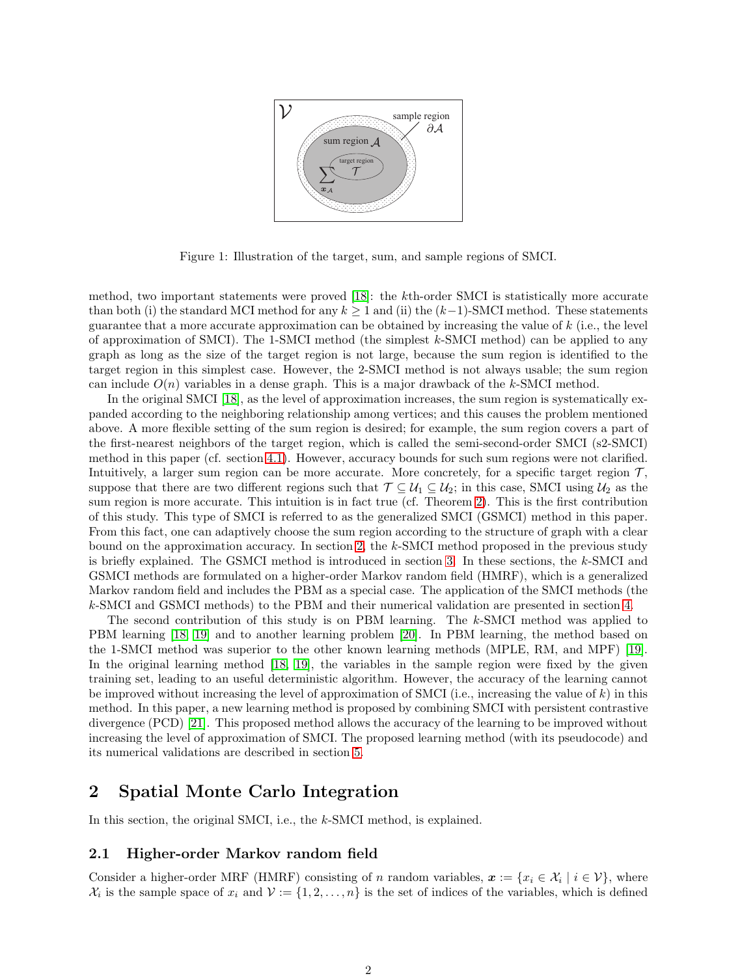

<span id="page-1-0"></span>Figure 1: Illustration of the target, sum, and sample regions of SMCI.

method, two important statements were proved [\[18\]](#page-15-1): the kth-order SMCI is statistically more accurate than both (i) the standard MCI method for any  $k \ge 1$  and (ii) the  $(k-1)$ -SMCI method. These statements guarantee that a more accurate approximation can be obtained by increasing the value of k (i.e., the level of approximation of SMCI). The 1-SMCI method (the simplest  $k$ -SMCI method) can be applied to any graph as long as the size of the target region is not large, because the sum region is identified to the target region in this simplest case. However, the 2-SMCI method is not always usable; the sum region can include  $O(n)$  variables in a dense graph. This is a major drawback of the k-SMCI method.

In the original SMCI [\[18\]](#page-15-1), as the level of approximation increases, the sum region is systematically expanded according to the neighboring relationship among vertices; and this causes the problem mentioned above. A more flexible setting of the sum region is desired; for example, the sum region covers a part of the first-nearest neighbors of the target region, which is called the semi-second-order SMCI (s2-SMCI) method in this paper (cf. section [4.1\)](#page-6-0). However, accuracy bounds for such sum regions were not clarified. Intuitively, a larger sum region can be more accurate. More concretely, for a specific target region  $\mathcal{T}$ , suppose that there are two different regions such that  $\mathcal{T} \subseteq \mathcal{U}_1 \subseteq \mathcal{U}_2$ ; in this case, SMCI using  $\mathcal{U}_2$  as the sum region is more accurate. This intuition is in fact true (cf. Theorem [2\)](#page-5-0). This is the first contribution of this study. This type of SMCI is referred to as the generalized SMCI (GSMCI) method in this paper. From this fact, one can adaptively choose the sum region according to the structure of graph with a clear bound on the approximation accuracy. In section [2,](#page-1-1) the k-SMCI method proposed in the previous study is briefly explained. The GSMCI method is introduced in section [3.](#page-4-0) In these sections, the k-SMCI and GSMCI methods are formulated on a higher-order Markov random field (HMRF), which is a generalized Markov random field and includes the PBM as a special case. The application of the SMCI methods (the k-SMCI and GSMCI methods) to the PBM and their numerical validation are presented in section [4.](#page-5-1)

The second contribution of this study is on PBM learning. The k-SMCI method was applied to PBM learning [\[18,](#page-15-1) [19\]](#page-15-2) and to another learning problem [\[20\]](#page-15-3). In PBM learning, the method based on the 1-SMCI method was superior to the other known learning methods (MPLE, RM, and MPF) [\[19\]](#page-15-2). In the original learning method [\[18,](#page-15-1) [19\]](#page-15-2), the variables in the sample region were fixed by the given training set, leading to an useful deterministic algorithm. However, the accuracy of the learning cannot be improved without increasing the level of approximation of SMCI (i.e., increasing the value of  $k$ ) in this method. In this paper, a new learning method is proposed by combining SMCI with persistent contrastive divergence (PCD) [\[21\]](#page-15-4). This proposed method allows the accuracy of the learning to be improved without increasing the level of approximation of SMCI. The proposed learning method (with its pseudocode) and its numerical validations are described in section [5.](#page-9-0)

# <span id="page-1-1"></span>2 Spatial Monte Carlo Integration

In this section, the original SMCI, i.e., the k-SMCI method, is explained.

### 2.1 Higher-order Markov random field

Consider a higher-order MRF (HMRF) consisting of n random variables,  $x := \{x_i \in \mathcal{X}_i \mid i \in \mathcal{V}\}\$ , where  $\mathcal{X}_i$  is the sample space of  $x_i$  and  $\mathcal{V} := \{1, 2, ..., n\}$  is the set of indices of the variables, which is defined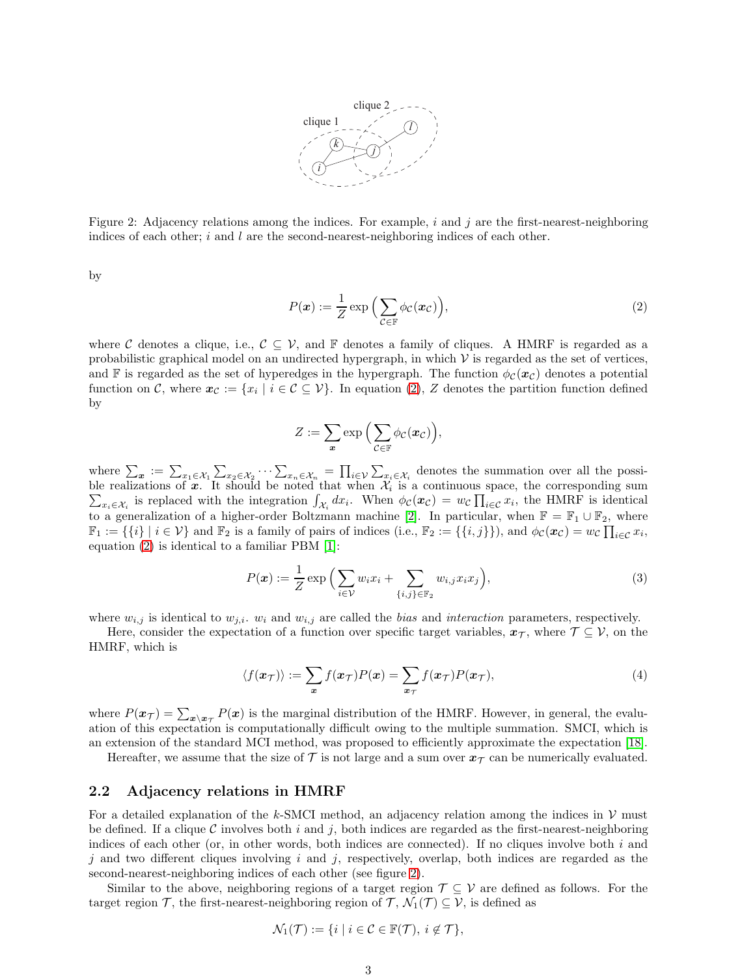

<span id="page-2-1"></span>Figure 2: Adjacency relations among the indices. For example,  $i$  and  $j$  are the first-nearest-neighboring indices of each other;  $i$  and  $l$  are the second-nearest-neighboring indices of each other.

by

<span id="page-2-0"></span>
$$
P(\boldsymbol{x}) := \frac{1}{Z} \exp\left(\sum_{\mathcal{C} \in \mathbb{F}} \phi_{\mathcal{C}}(\boldsymbol{x}_{\mathcal{C}})\right),\tag{2}
$$

where C denotes a clique, i.e.,  $C \subseteq V$ , and F denotes a family of cliques. A HMRF is regarded as a probabilistic graphical model on an undirected hypergraph, in which  $\mathcal V$  is regarded as the set of vertices, and F is regarded as the set of hyperedges in the hypergraph. The function  $\phi_c(x_c)$  denotes a potential function on C, where  $x_c := \{x_i \mid i \in C \subseteq V\}$ . In equation [\(2\)](#page-2-0), Z denotes the partition function defined by

<span id="page-2-3"></span>
$$
Z:=\sum_{\boldsymbol{x}}\exp\Big(\sum_{\mathcal{C}\in\mathbb{F}}\phi_{\mathcal{C}}(\boldsymbol{x}_{\mathcal{C}})\Big),\,
$$

where  $\sum_{\bm{x}} := \sum_{x_1 \in \mathcal{X}_1} \sum_{x_2 \in \mathcal{X}_2} \cdots \sum_{x_n \in \mathcal{X}_n} = \prod_{i \in \mathcal{V}} \sum_{x_i \in \mathcal{X}_i}$  denotes the summation over all the possible realizations of x. It should be noted that when  $\mathcal{X}_i$  is a continuous space, the corresponding sum  $\sum_{x_i \in \mathcal{X}_i}$  is replaced with the integration  $\int_{\mathcal{X}_i} dx_i$ . When  $\phi_c(x_c) = w_c \prod_{i \in \mathcal{C}} x_i$ , the HMRF is identical to a generalization of a higher-order Boltzmann machine [\[2\]](#page-14-1). In particular, when  $\mathbb{F} = \mathbb{F}_1 \cup \mathbb{F}_2$ , where  $\mathbb{F}_1 := \{\{i\} \mid i \in \mathcal{V}\}\$ and  $\mathbb{F}_2$  is a family of pairs of indices (i.e.,  $\mathbb{F}_2 := \{\{i,j\}\}\)$ , and  $\phi_{\mathcal{C}}(\boldsymbol{x}_{\mathcal{C}}) = w_{\mathcal{C}}\prod_{i \in \mathcal{C}} x_i$ , equation [\(2\)](#page-2-0) is identical to a familiar PBM [\[1\]](#page-14-0):

$$
P(\boldsymbol{x}) := \frac{1}{Z} \exp\Big(\sum_{i \in \mathcal{V}} w_i x_i + \sum_{\{i,j\} \in \mathbb{F}_2} w_{i,j} x_i x_j\Big),\tag{3}
$$

where  $w_{i,j}$  is identical to  $w_{j,i}$ .  $w_i$  and  $w_{i,j}$  are called the *bias* and *interaction* parameters, respectively.

Here, consider the expectation of a function over specific target variables,  $x_{\mathcal{T}}$ , where  $\mathcal{T} \subseteq \mathcal{V}$ , on the HMRF, which is

<span id="page-2-2"></span>
$$
\langle f(\mathbf{x}_{\mathcal{T}}) \rangle := \sum_{\mathbf{x}} f(\mathbf{x}_{\mathcal{T}}) P(\mathbf{x}) = \sum_{\mathbf{x}_{\mathcal{T}}} f(\mathbf{x}_{\mathcal{T}}) P(\mathbf{x}_{\mathcal{T}}), \tag{4}
$$

where  $P(x_{\tau}) = \sum_{x \setminus x_{\tau}} P(x)$  is the marginal distribution of the HMRF. However, in general, the evaluation of this expectation is computationally difficult owing to the multiple summation. SMCI, which is an extension of the standard MCI method, was proposed to efficiently approximate the expectation [\[18\]](#page-15-1).

Hereafter, we assume that the size of  $\mathcal T$  is not large and a sum over  $x_{\mathcal T}$  can be numerically evaluated.

### 2.2 Adjacency relations in HMRF

For a detailed explanation of the k-SMCI method, an adjacency relation among the indices in  $\mathcal V$  must be defined. If a clique C involves both i and j, both indices are regarded as the first-nearest-neighboring indices of each other (or, in other words, both indices are connected). If no cliques involve both  $i$  and  $j$  and two different cliques involving  $i$  and  $j$ , respectively, overlap, both indices are regarded as the second-nearest-neighboring indices of each other (see figure [2\)](#page-2-1).

Similar to the above, neighboring regions of a target region  $\mathcal{T} \subseteq \mathcal{V}$  are defined as follows. For the target region T, the first-nearest-neighboring region of T,  $\mathcal{N}_1(\mathcal{T}) \subseteq \mathcal{V}$ , is defined as

$$
\mathcal{N}_1(\mathcal{T}) := \{ i \mid i \in \mathcal{C} \in \mathbb{F}(\mathcal{T}), i \notin \mathcal{T} \},\
$$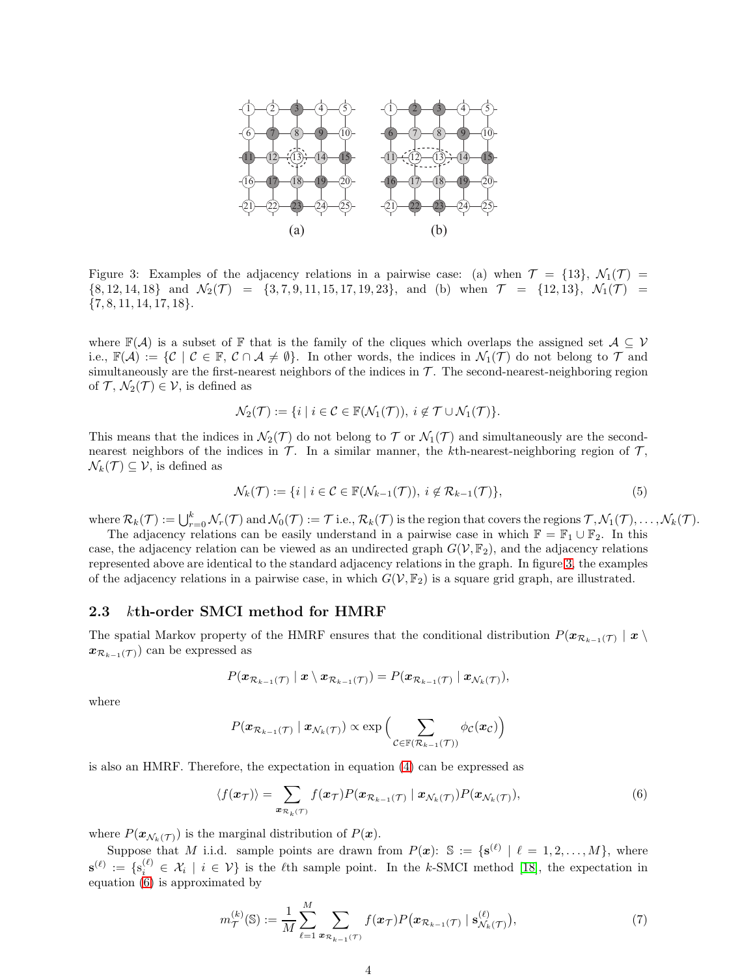

<span id="page-3-0"></span>Figure 3: Examples of the adjacency relations in a pairwise case: (a) when  $\mathcal{T} = \{13\}, \mathcal{N}_1(\mathcal{T}) =$  $\{8, 12, 14, 18\}$  and  $\mathcal{N}_2(\mathcal{T}) = \{3, 7, 9, 11, 15, 17, 19, 23\}$ , and (b) when  $\mathcal{T} = \{12, 13\}$ ,  $\mathcal{N}_1(\mathcal{T}) =$  $\{7, 8, 11, 14, 17, 18\}.$ 

where  $\mathbb{F}(\mathcal{A})$  is a subset of  $\mathbb{F}$  that is the family of the cliques which overlaps the assigned set  $\mathcal{A} \subseteq \mathcal{V}$ i.e.,  $\mathbb{F}(\mathcal{A}) := \{ \mathcal{C} \mid \mathcal{C} \in \mathbb{F}, \mathcal{C} \cap \mathcal{A} \neq \emptyset \}$ . In other words, the indices in  $\mathcal{N}_1(\mathcal{T})$  do not belong to  $\mathcal{T}$  and simultaneously are the first-nearest neighbors of the indices in  $\mathcal T$ . The second-nearest-neighboring region of  $\mathcal{T}, \mathcal{N}_2(\mathcal{T}) \in \mathcal{V}$ , is defined as

$$
\mathcal{N}_2(\mathcal{T}) := \{ i \mid i \in \mathcal{C} \in \mathbb{F}(\mathcal{N}_1(\mathcal{T})), \ i \notin \mathcal{T} \cup \mathcal{N}_1(\mathcal{T}) \}.
$$

This means that the indices in  $\mathcal{N}_2(\mathcal{T})$  do not belong to  $\mathcal{T}$  or  $\mathcal{N}_1(\mathcal{T})$  and simultaneously are the secondnearest neighbors of the indices in  $\mathcal T$ . In a similar manner, the kth-nearest-neighboring region of  $\mathcal T$ ,  $\mathcal{N}_k(\mathcal{T}) \subseteq \mathcal{V}$ , is defined as

$$
\mathcal{N}_k(\mathcal{T}) := \{ i \mid i \in \mathcal{C} \in \mathbb{F}(\mathcal{N}_{k-1}(\mathcal{T})), \ i \notin \mathcal{R}_{k-1}(\mathcal{T}) \},\tag{5}
$$

where  $\mathcal{R}_k(\mathcal{T}) := \bigcup_{r=0}^k \mathcal{N}_r(\mathcal{T})$  and  $\mathcal{N}_0(\mathcal{T}) := \mathcal{T}$  i.e.,  $\mathcal{R}_k(\mathcal{T})$  is the region that covers the regions  $\mathcal{T}, \mathcal{N}_1(\mathcal{T}), \ldots, \mathcal{N}_k(\mathcal{T})$ .

The adjacency relations can be easily understand in a pairwise case in which  $\mathbb{F} = \mathbb{F}_1 \cup \mathbb{F}_2$ . In this case, the adjacency relation can be viewed as an undirected graph  $G(V, \mathbb{F}_2)$ , and the adjacency relations represented above are identical to the standard adjacency relations in the graph. In figure [3,](#page-3-0) the examples of the adjacency relations in a pairwise case, in which  $G(V, \mathbb{F}_2)$  is a square grid graph, are illustrated.

#### <span id="page-3-3"></span>2.3 kth-order SMCI method for HMRF

The spatial Markov property of the HMRF ensures that the conditional distribution  $P(\bm{x}_{\mathcal{R}_{k-1}(\mathcal{T})} \mid \bm{x})$  $x_{\mathcal{R}_{k-1}(\mathcal{T})}$  can be expressed as

$$
P(\boldsymbol{x}_{\mathcal{R}_{k-1}(\mathcal{T})} \mid \boldsymbol{x} \setminus \boldsymbol{x}_{\mathcal{R}_{k-1}(\mathcal{T})}) = P(\boldsymbol{x}_{\mathcal{R}_{k-1}(\mathcal{T})} \mid \boldsymbol{x}_{\mathcal{N}_k(\mathcal{T})}),
$$

where

<span id="page-3-1"></span>
$$
P(\boldsymbol{x}_{\mathcal{R}_{k-1}(\mathcal{T})} | \boldsymbol{x}_{\mathcal{N}_k(\mathcal{T})}) \propto \exp\Big(\sum_{\mathcal{C} \in \mathbb{F}(\mathcal{R}_{k-1}(\mathcal{T}))} \phi_{\mathcal{C}}(\boldsymbol{x}_{\mathcal{C}})\Big)
$$

is also an HMRF. Therefore, the expectation in equation [\(4\)](#page-2-2) can be expressed as

$$
\langle f(\boldsymbol{x}_{\mathcal{T}}) \rangle = \sum_{\boldsymbol{x}_{\mathcal{R}_k(\mathcal{T})}} f(\boldsymbol{x}_{\mathcal{T}}) P(\boldsymbol{x}_{\mathcal{R}_{k-1}(\mathcal{T})} \mid \boldsymbol{x}_{\mathcal{N}_k(\mathcal{T})}) P(\boldsymbol{x}_{\mathcal{N}_k(\mathcal{T})}), \tag{6}
$$

where  $P(\mathbf{x}_{\mathcal{N}_k(\mathcal{T})})$  is the marginal distribution of  $P(\mathbf{x})$ .

Suppose that M i.i.d. sample points are drawn from  $P(x)$ : S := { $\mathbf{s}^{(\ell)} | \ell = 1, 2, ..., M$ }, where  $\mathbf{s}^{(\ell)} := \{ \mathbf{s}_i^{(\ell)} \in \mathcal{X}_i \mid i \in \mathcal{V} \}$  is the  $\ell$ th sample point. In the k-SMCI method [\[18\]](#page-15-1), the expectation in equation [\(6\)](#page-3-1) is approximated by

<span id="page-3-2"></span>
$$
m_{\mathcal{T}}^{(k)}(\mathbb{S}) := \frac{1}{M} \sum_{\ell=1}^{M} \sum_{\mathbf{x}_{\mathcal{R}_{k-1}(\mathcal{T})}} f(\mathbf{x}_{\mathcal{T}}) P(\mathbf{x}_{\mathcal{R}_{k-1}(\mathcal{T})} \mid \mathbf{s}_{\mathcal{N}_k(\mathcal{T})}^{(\ell)}), \tag{7}
$$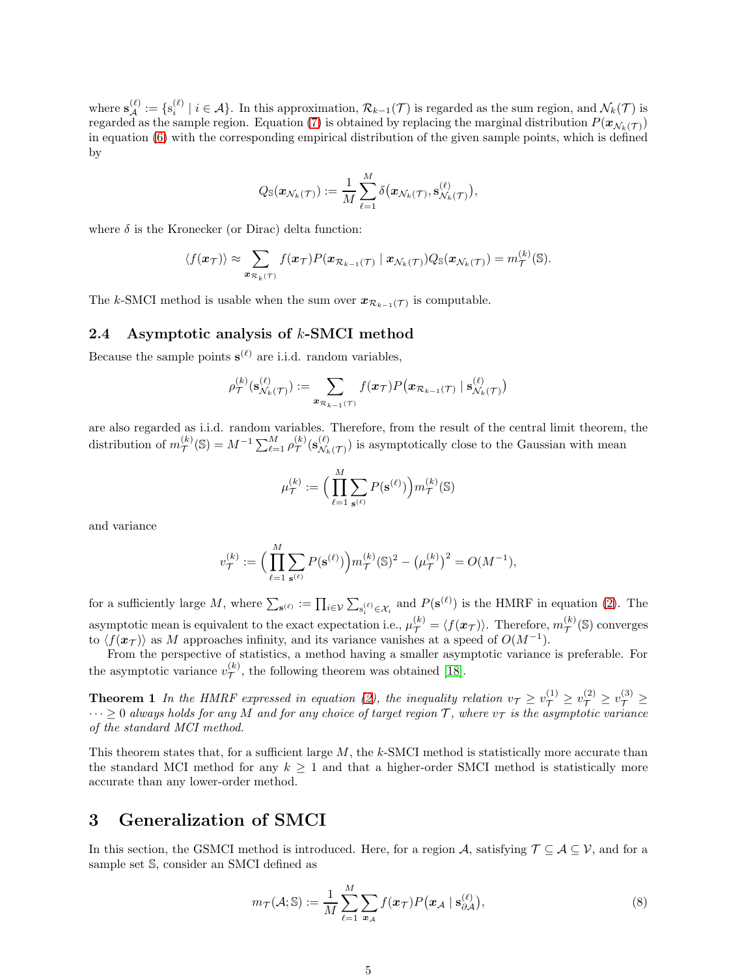where  $\mathbf{s}_{\mathcal{A}}^{(\ell)} := \{ \mathbf{s}_{i}^{(\ell)} \mid i \in \mathcal{A} \}$ . In this approximation,  $\mathcal{R}_{k-1}(\mathcal{T})$  is regarded as the sum region, and  $\mathcal{N}_{k}(\mathcal{T})$  is regarded as the sample region. Equation [\(7\)](#page-3-2) is obtained by replacing the marginal distribution  $P(\bm{x}_{\mathcal{N}_k(\mathcal{T})})$ in equation [\(6\)](#page-3-1) with the corresponding empirical distribution of the given sample points, which is defined by

$$
Q_{\mathbb{S}}(\boldsymbol{x}_{\mathcal{N}_k(\mathcal{T})}) := \frac{1}{M} \sum_{\ell=1}^M \delta(\boldsymbol{x}_{\mathcal{N}_k(\mathcal{T})}, \mathbf{s}_{\mathcal{N}_k(\mathcal{T})}^{(\ell)}),
$$

where  $\delta$  is the Kronecker (or Dirac) delta function:

$$
\langle f(\boldsymbol{x}_{\mathcal{T}}) \rangle \approx \sum_{\boldsymbol{x}_{\mathcal{R}_k(\mathcal{T})}} f(\boldsymbol{x}_{\mathcal{T}}) P(\boldsymbol{x}_{\mathcal{R}_{k-1}(\mathcal{T})} \mid \boldsymbol{x}_{\mathcal{N}_k(\mathcal{T})}) Q_{\mathbb{S}}(\boldsymbol{x}_{\mathcal{N}_k(\mathcal{T})}) = m_{\mathcal{T}}^{(k)}(\mathbb{S}).
$$

The k-SMCI method is usable when the sum over  $x_{\mathcal{R}_{k-1}(\mathcal{T})}$  is computable.

## <span id="page-4-2"></span>2.4 Asymptotic analysis of k-SMCI method

Because the sample points  $s^{(\ell)}$  are i.i.d. random variables,

$$
\rho_{\mathcal{T}}^{(k)}(\mathbf{s}_{\mathcal{N}_k(\mathcal{T})}^{(\ell)}) := \sum_{\boldsymbol{x}_{\mathcal{R}_{k-1}(\mathcal{T})}} f(\boldsymbol{x}_{\mathcal{T}}) P(\boldsymbol{x}_{\mathcal{R}_{k-1}(\mathcal{T})} \mid \mathbf{s}_{\mathcal{N}_k(\mathcal{T})}^{(\ell)})
$$

are also regarded as i.i.d. random variables. Therefore, from the result of the central limit theorem, the distribution of  $m_{\mathcal{T}}^{(k)}(\mathbb{S}) = M^{-1} \sum_{\ell=1}^{M} \rho_{\mathcal{T}}^{(k)}(\mathbf{s}_{\mathcal{N}_k}^{(\ell)})$  $\mathcal{N}_{k}(\mathcal{T})$  is asymptotically close to the Gaussian with mean

<span id="page-4-3"></span>
$$
\mu^{(k)}_\mathcal{T} := \Big(\prod_{\ell=1}^M \sum_{\mathbf{s}^{(\ell)}} P(\mathbf{s}^{(\ell)})\Big) m^{(k)}_\mathcal{T}(\mathbb{S})
$$

and variance

$$
v_{\mathcal{T}}^{(k)} := \Big( \prod_{\ell=1}^{M} \sum_{\mathbf{s}^{(\ell)}} P(\mathbf{s}^{(\ell)}) \Big) m_{\mathcal{T}}^{(k)}(\mathbb{S})^2 - \big( \mu_{\mathcal{T}}^{(k)} \big)^2 = O(M^{-1}),
$$

for a sufficiently large M, where  $\sum_{s^{(\ell)}} := \prod_{i \in \mathcal{V}} \sum_{s_i^{(\ell)} \in \mathcal{X}_i}$  and  $P(s^{(\ell)})$  is the HMRF in equation [\(2\)](#page-2-0). The asymptotic mean is equivalent to the exact expectation i.e.,  $\mu_{\mathcal{T}}^{(k)} = \langle f(\boldsymbol{x}_{\mathcal{T}}) \rangle$ . Therefore,  $m_{\mathcal{T}}^{(k)}(\mathbb{S})$  converges to  $\langle f(\boldsymbol{x}_{\mathcal{T}})\rangle$  as M approaches infinity, and its variance vanishes at a speed of  $O(M^{-1})$ .

From the perspective of statistics, a method having a smaller asymptotic variance is preferable. For the asymptotic variance  $v_{\tau}^{(k)}$  $\mathcal{T}'$ , the following theorem was obtained [\[18\]](#page-15-1).

**Theorem 1** In the HMRF expressed in equation [\(2\)](#page-2-0), the inequality relation  $v_{\mathcal{T}} \ge v_{\mathcal{T}}^{(1)} \ge v_{\mathcal{T}}^{(2)} \ge v_{\mathcal{T}}^{(3)} \ge$  $\cdots \geq 0$  *always holds for any* M *and for any choice of target region* T, where  $v_{\mathcal{T}}$  *is the asymptotic variance of the standard MCI method.*

This theorem states that, for a sufficient large  $M$ , the  $k$ -SMCI method is statistically more accurate than the standard MCI method for any  $k \geq 1$  and that a higher-order SMCI method is statistically more accurate than any lower-order method.

# <span id="page-4-0"></span>3 Generalization of SMCI

In this section, the GSMCI method is introduced. Here, for a region A, satisfying  $\mathcal{T} \subseteq \mathcal{A} \subseteq \mathcal{V}$ , and for a sample set S, consider an SMCI defined as

<span id="page-4-1"></span>
$$
m_{\mathcal{T}}(\mathcal{A}; \mathbb{S}) := \frac{1}{M} \sum_{\ell=1}^{M} \sum_{\mathbf{x}_{\mathcal{A}}} f(\mathbf{x}_{\mathcal{T}}) P(\mathbf{x}_{\mathcal{A}} \mid \mathbf{s}_{\partial \mathcal{A}}^{(\ell)}), \tag{8}
$$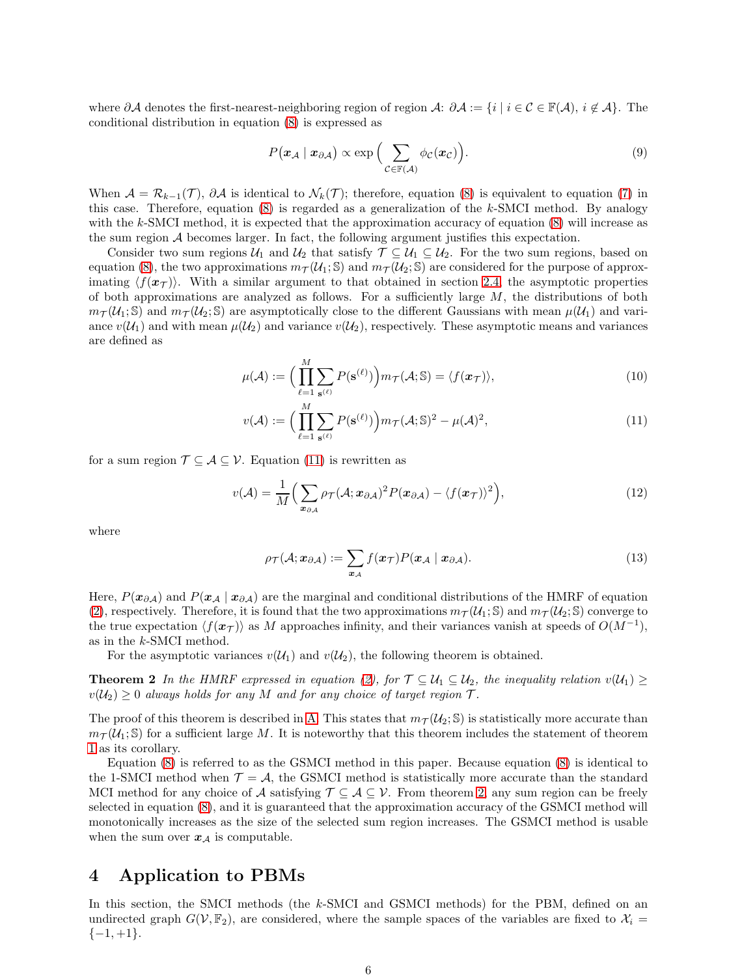where ∂A denotes the first-nearest-neighboring region of region A:  $\partial A := \{i \mid i \in C \in \mathbb{F}(\mathcal{A}), i \notin \mathcal{A}\}\.$  The conditional distribution in equation [\(8\)](#page-4-1) is expressed as

<span id="page-5-3"></span>
$$
P(\mathbf{x}_{\mathcal{A}} \mid \mathbf{x}_{\partial \mathcal{A}}) \propto \exp\Big(\sum_{\mathcal{C} \in \mathbb{F}(\mathcal{A})} \phi_{\mathcal{C}}(\mathbf{x}_{\mathcal{C}})\Big). \tag{9}
$$

When  $\mathcal{A} = \mathcal{R}_{k-1}(\mathcal{T}), \partial \mathcal{A}$  is identical to  $\mathcal{N}_k(\mathcal{T})$ ; therefore, equation [\(8\)](#page-4-1) is equivalent to equation [\(7\)](#page-3-2) in this case. Therefore, equation  $(8)$  is regarded as a generalization of the k-SMCI method. By analogy with the k-SMCI method, it is expected that the approximation accuracy of equation  $(8)$  will increase as the sum region A becomes larger. In fact, the following argument justifies this expectation.

Consider two sum regions  $U_1$  and  $U_2$  that satisfy  $\mathcal{T} \subseteq U_1 \subseteq U_2$ . For the two sum regions, based on equation [\(8\)](#page-4-1), the two approximations  $m_{\mathcal{T}}(\mathcal{U}_1;\mathbb{S})$  and  $m_{\mathcal{T}}(\mathcal{U}_2;\mathbb{S})$  are considered for the purpose of approximating  $\langle f(\mathbf{x}\tau)\rangle$ . With a similar argument to that obtained in section [2.4,](#page-4-2) the asymptotic properties of both approximations are analyzed as follows. For a sufficiently large  $M$ , the distributions of both  $m_{\mathcal{T}}(\mathcal{U}_1;\mathbb{S})$  and  $m_{\mathcal{T}}(\mathcal{U}_2;\mathbb{S})$  are asymptotically close to the different Gaussians with mean  $\mu(\mathcal{U}_1)$  and variance  $v(\mathcal{U}_1)$  and with mean  $\mu(\mathcal{U}_2)$  and variance  $v(\mathcal{U}_2)$ , respectively. These asymptotic means and variances are defined as

$$
\mu(\mathcal{A}) := \Big( \prod_{\ell=1}^{M} \sum_{\mathbf{s}^{(\ell)}} P(\mathbf{s}^{(\ell)}) \Big) m_{\mathcal{T}}(\mathcal{A}; \mathbb{S}) = \langle f(\boldsymbol{x}_{\mathcal{T}}) \rangle, \tag{10}
$$

<span id="page-5-2"></span>
$$
v(\mathcal{A}) := \left(\prod_{\ell=1}^{M} \sum_{\mathbf{s}^{(\ell)}} P(\mathbf{s}^{(\ell)})\right) m_{\mathcal{T}}(\mathcal{A}; \mathbb{S})^2 - \mu(\mathcal{A})^2,\tag{11}
$$

for a sum region  $\mathcal{T} \subseteq \mathcal{A} \subseteq \mathcal{V}$ . Equation [\(11\)](#page-5-2) is rewritten as

$$
v(\mathcal{A}) = \frac{1}{M} \Big( \sum_{\boldsymbol{x}_{\partial \mathcal{A}}} \rho_{\mathcal{T}}(\mathcal{A}; \boldsymbol{x}_{\partial \mathcal{A}})^2 P(\boldsymbol{x}_{\partial \mathcal{A}}) - \langle f(\boldsymbol{x}_{\mathcal{T}}) \rangle^2 \Big), \tag{12}
$$

where

<span id="page-5-4"></span><span id="page-5-0"></span>
$$
\rho_{\mathcal{T}}(\mathcal{A}; \boldsymbol{x}_{\partial \mathcal{A}}) := \sum_{\boldsymbol{x}_{\mathcal{A}}} f(\boldsymbol{x}_{\mathcal{T}}) P(\boldsymbol{x}_{\mathcal{A}} \mid \boldsymbol{x}_{\partial \mathcal{A}}). \tag{13}
$$

Here,  $P(x_{\partial A})$  and  $P(x_A | x_{\partial A})$  are the marginal and conditional distributions of the HMRF of equation [\(2\)](#page-2-0), respectively. Therefore, it is found that the two approximations  $m_{\mathcal{T}}(\mathcal{U}_1; \mathbb{S})$  and  $m_{\mathcal{T}}(\mathcal{U}_2; \mathbb{S})$  converge to the true expectation  $\langle f(x_T) \rangle$  as M approaches infinity, and their variances vanish at speeds of  $O(M^{-1})$ , as in the k-SMCI method.

For the asymptotic variances  $v(\mathcal{U}_1)$  and  $v(\mathcal{U}_2)$ , the following theorem is obtained.

**Theorem 2** In the HMRF expressed in equation [\(2\)](#page-2-0), for  $\mathcal{T} \subseteq \mathcal{U}_1 \subseteq \mathcal{U}_2$ , the inequality relation  $v(\mathcal{U}_1) \geq$  $v(\mathcal{U}_2) \geq 0$  *always holds for any* M *and for any choice of target region*  $\mathcal{T}$ *.* 

The proof of this theorem is described in [A.](#page-12-0) This states that  $m_{\mathcal{T}}(\mathcal{U}_2; \mathbb{S})$  is statistically more accurate than  $m_{\mathcal{T}}(\mathcal{U}_1;\mathbb{S})$  for a sufficient large M. It is noteworthy that this theorem includes the statement of theorem [1](#page-4-3) as its corollary.

Equation [\(8\)](#page-4-1) is referred to as the GSMCI method in this paper. Because equation [\(8\)](#page-4-1) is identical to the 1-SMCI method when  $\mathcal{T} = \mathcal{A}$ , the GSMCI method is statistically more accurate than the standard MCI method for any choice of A satisfying  $\mathcal{T} \subseteq \mathcal{A} \subseteq \mathcal{V}$ . From theorem [2,](#page-5-0) any sum region can be freely selected in equation [\(8\)](#page-4-1), and it is guaranteed that the approximation accuracy of the GSMCI method will monotonically increases as the size of the selected sum region increases. The GSMCI method is usable when the sum over  $x_{\mathcal{A}}$  is computable.

# <span id="page-5-1"></span>4 Application to PBMs

In this section, the SMCI methods (the k-SMCI and GSMCI methods) for the PBM, defined on an undirected graph  $G(V, \mathbb{F}_2)$ , are considered, where the sample spaces of the variables are fixed to  $\mathcal{X}_i$  $\{-1, +1\}.$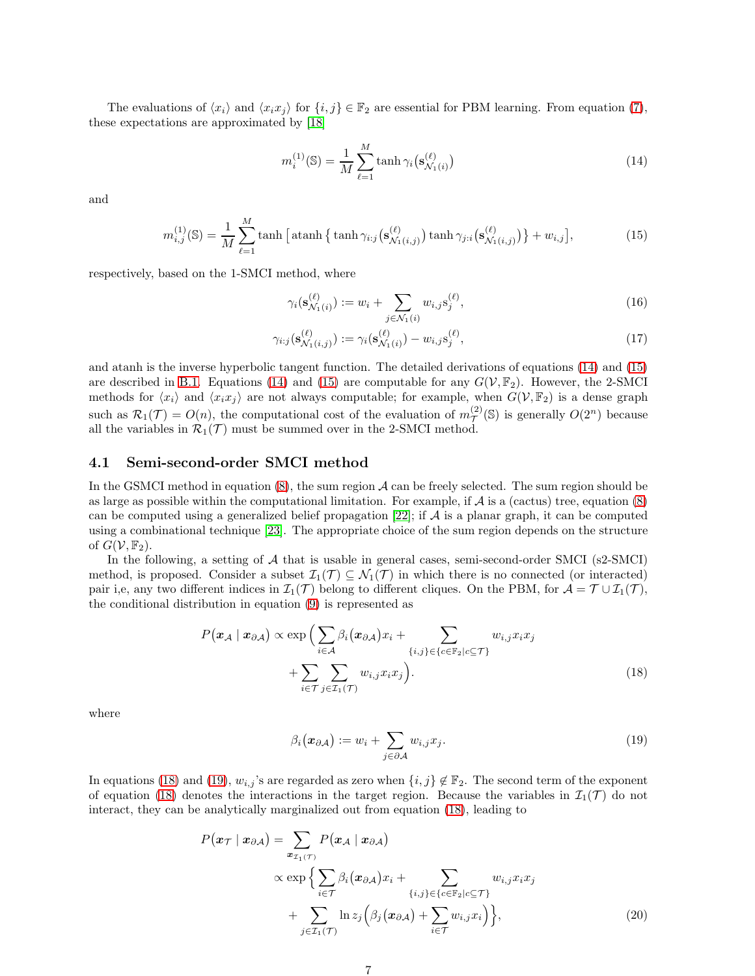The evaluations of  $\langle x_i \rangle$  and  $\langle x_i x_j \rangle$  for  $\{i, j\} \in \mathbb{F}_2$  are essential for PBM learning. From equation [\(7\)](#page-3-2), these expectations are approximated by [\[18\]](#page-15-1)

<span id="page-6-1"></span>
$$
m_i^{(1)}(\mathbb{S}) = \frac{1}{M} \sum_{\ell=1}^{M} \tanh \gamma_i \left( \mathbf{s}_{\mathcal{N}_1(i)}^{(\ell)} \right) \tag{14}
$$

and

$$
m_{i,j}^{(1)}(\mathbb{S}) = \frac{1}{M} \sum_{\ell=1}^{M} \tanh\left[\tanh\left\{\tanh\gamma_{i:j}(\mathbf{s}_{\mathcal{N}_1(i,j)}^{(\ell)})\tanh\gamma_{j:i}(\mathbf{s}_{\mathcal{N}_1(i,j)}^{(\ell)})\right\} + w_{i,j}\right],\tag{15}
$$

respectively, based on the 1-SMCI method, where

<span id="page-6-7"></span><span id="page-6-6"></span><span id="page-6-2"></span>
$$
\gamma_i(\mathbf{s}_{\mathcal{N}_1(i)}^{(\ell)}) := w_i + \sum_{j \in \mathcal{N}_1(i)} w_{i,j} \mathbf{s}_j^{(\ell)},\tag{16}
$$

$$
\gamma_{i:j}(\mathbf{s}_{\mathcal{N}_1(i,j)}^{(\ell)}) := \gamma_i(\mathbf{s}_{\mathcal{N}_1(i)}^{(\ell)}) - w_{i,j}\mathbf{s}_j^{(\ell)},\tag{17}
$$

and atanh is the inverse hyperbolic tangent function. The detailed derivations of equations [\(14\)](#page-6-1) and [\(15\)](#page-6-2) are described in [B.1.](#page-13-0) Equations [\(14\)](#page-6-1) and [\(15\)](#page-6-2) are computable for any  $G(V, \mathbb{F}_2)$ . However, the 2-SMCI methods for  $\langle x_i \rangle$  and  $\langle x_i x_j \rangle$  are not always computable; for example, when  $G(V, \mathbb{F}_2)$  is a dense graph such as  $\mathcal{R}_1(\mathcal{T}) = O(n)$ , the computational cost of the evaluation of  $m_\mathcal{T}^{(2)}(\mathbb{S})$  is generally  $O(2^n)$  because all the variables in  $\mathcal{R}_1(\mathcal{T})$  must be summed over in the 2-SMCI method.

#### <span id="page-6-0"></span>4.1 Semi-second-order SMCI method

In the GSMCI method in equation  $(8)$ , the sum region A can be freely selected. The sum region should be as large as possible within the computational limitation. For example, if  $\mathcal A$  is a (cactus) tree, equation [\(8\)](#page-4-1) can be computed using a generalized belief propagation [\[22\]](#page-15-5); if  $A$  is a planar graph, it can be computed using a combinational technique [\[23\]](#page-15-6). The appropriate choice of the sum region depends on the structure of  $G(V, \mathbb{F}_2)$ .

In the following, a setting of A that is usable in general cases, semi-second-order SMCI (s2-SMCI) method, is proposed. Consider a subset  $\mathcal{I}_1(\mathcal{T}) \subseteq \mathcal{N}_1(\mathcal{T})$  in which there is no connected (or interacted) pair i,e, any two different indices in  $\mathcal{I}_1(\mathcal{T})$  belong to different cliques. On the PBM, for  $\mathcal{A} = \mathcal{T} \cup \mathcal{I}_1(\mathcal{T})$ , the conditional distribution in equation [\(9\)](#page-5-3) is represented as

$$
P(\mathbf{x}_{\mathcal{A}} \mid \mathbf{x}_{\partial \mathcal{A}}) \propto \exp\Big( \sum_{i \in \mathcal{A}} \beta_i (\mathbf{x}_{\partial \mathcal{A}}) x_i + \sum_{\{i,j\} \in \{c \in \mathbb{F}_2 | c \subseteq \mathcal{T}\}} w_{i,j} x_i x_j + \sum_{i \in \mathcal{T}} \sum_{j \in \mathcal{I}_1(\mathcal{T})} w_{i,j} x_i x_j \Big). \tag{18}
$$

where

<span id="page-6-5"></span><span id="page-6-4"></span><span id="page-6-3"></span>
$$
\beta_i(\boldsymbol{x}_{\partial \mathcal{A}}) := w_i + \sum_{j \in \partial \mathcal{A}} w_{i,j} x_j.
$$
\n(19)

In equations [\(18\)](#page-6-3) and [\(19\)](#page-6-4),  $w_{i,j}$ 's are regarded as zero when  $\{i,j\} \notin \mathbb{F}_2$ . The second term of the exponent of equation [\(18\)](#page-6-3) denotes the interactions in the target region. Because the variables in  $\mathcal{I}_1(\mathcal{T})$  do not interact, they can be analytically marginalized out from equation [\(18\)](#page-6-3), leading to

$$
P(\boldsymbol{x}_{\mathcal{T}} \mid \boldsymbol{x}_{\partial A}) = \sum_{\boldsymbol{x}_{\mathcal{I}_1(\mathcal{T})}} P(\boldsymbol{x}_{\mathcal{A}} \mid \boldsymbol{x}_{\partial A})
$$

$$
\propto \exp\Big\{\sum_{i \in \mathcal{T}} \beta_i (\boldsymbol{x}_{\partial A}) x_i + \sum_{\{i,j\} \in \{c \in \mathbb{F}_2 | c \subseteq \mathcal{T}\}} w_{i,j} x_i x_j + \sum_{j \in \mathcal{I}_1(\mathcal{T})} \ln z_j (\beta_j (\boldsymbol{x}_{\partial A}) + \sum_{i \in \mathcal{T}} w_{i,j} x_i) \Big\},\tag{20}
$$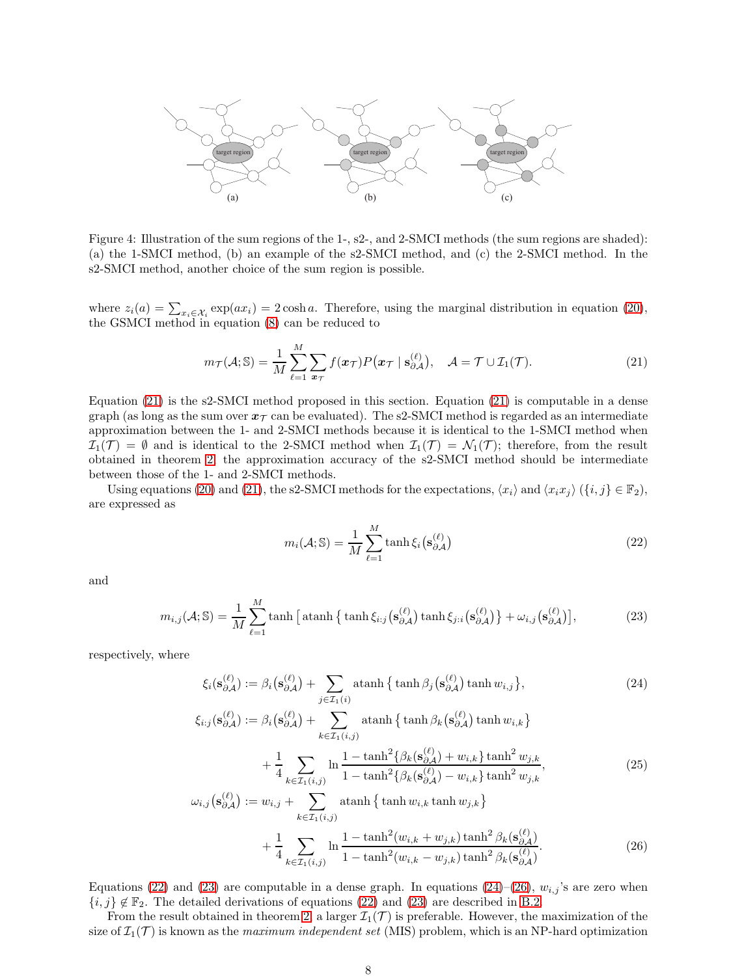

Figure 4: Illustration of the sum regions of the 1-, s2-, and 2-SMCI methods (the sum regions are shaded): (a) the 1-SMCI method, (b) an example of the s2-SMCI method, and (c) the 2-SMCI method. In the s2-SMCI method, another choice of the sum region is possible.

where  $z_i(a) = \sum_{x_i \in \mathcal{X}_i} \exp(ax_i) = 2 \cosh a$ . Therefore, using the marginal distribution in equation [\(20\)](#page-6-5), the GSMCI method in equation [\(8\)](#page-4-1) can be reduced to

$$
m_{\mathcal{T}}(\mathcal{A}; \mathbb{S}) = \frac{1}{M} \sum_{\ell=1}^{M} \sum_{\boldsymbol{x}_{\mathcal{T}}} f(\boldsymbol{x}_{\mathcal{T}}) P(\boldsymbol{x}_{\mathcal{T}} \mid \mathbf{s}_{\partial \mathcal{A}}^{(\ell)}), \quad \mathcal{A} = \mathcal{T} \cup \mathcal{I}_{1}(\mathcal{T}). \tag{21}
$$

Equation [\(21\)](#page-7-0) is the s2-SMCI method proposed in this section. Equation [\(21\)](#page-7-0) is computable in a dense graph (as long as the sum over  $x_{\tau}$  can be evaluated). The s2-SMCI method is regarded as an intermediate approximation between the 1- and 2-SMCI methods because it is identical to the 1-SMCI method when  $\mathcal{I}_1(\mathcal{T}) = \emptyset$  and is identical to the 2-SMCI method when  $\mathcal{I}_1(\mathcal{T}) = \mathcal{N}_1(\mathcal{T})$ ; therefore, from the result obtained in theorem [2,](#page-5-0) the approximation accuracy of the s2-SMCI method should be intermediate between those of the 1- and 2-SMCI methods.

Using equations [\(20\)](#page-6-5) and [\(21\)](#page-7-0), the s2-SMCI methods for the expectations,  $\langle x_i \rangle$  and  $\langle x_i x_j \rangle$  ( $\{i, j\} \in \mathbb{F}_2$ ), are expressed as

<span id="page-7-3"></span><span id="page-7-2"></span><span id="page-7-1"></span><span id="page-7-0"></span>
$$
m_i(\mathcal{A}; \mathbb{S}) = \frac{1}{M} \sum_{\ell=1}^{M} \tanh \xi_i \left( \mathbf{s}_{\partial \mathcal{A}}^{(\ell)} \right)
$$
 (22)

and

$$
m_{i,j}(\mathcal{A};\mathbb{S}) = \frac{1}{M} \sum_{\ell=1}^{M} \tanh\left[\tanh\left\{\tanh\xi_{i:j}(\mathbf{s}_{\partial\mathcal{A}}^{(\ell)})\tanh\xi_{j:i}(\mathbf{s}_{\partial\mathcal{A}}^{(\ell)})\right\} + \omega_{i,j}(\mathbf{s}_{\partial\mathcal{A}}^{(\ell)})\right],\tag{23}
$$

respectively, where

 $\omega$ 

$$
\xi_i(\mathbf{s}_{\partial\mathcal{A}}^{(\ell)}) := \beta_i(\mathbf{s}_{\partial\mathcal{A}}^{(\ell)}) + \sum_{j \in \mathcal{I}_1(i)} \operatorname{atanh}\left\{\tanh\beta_j(\mathbf{s}_{\partial\mathcal{A}}^{(\ell)})\tanh w_{i,j}\right\},\tag{24}
$$

$$
\xi_{i:j}(\mathbf{s}_{\partial A}^{(\ell)}) := \beta_i(\mathbf{s}_{\partial A}^{(\ell)}) + \sum_{k \in \mathcal{I}_1(i,j)} \operatorname{atanh} \{ \tanh \beta_k(\mathbf{s}_{\partial A}^{(\ell)}) \tanh w_{i,k} \} + \frac{1}{4} \sum_{k \in \mathcal{I}_1(i,j)} \ln \frac{1 - \tanh^2 \{ \beta_k(\mathbf{s}_{\partial A}^{(\ell)}) + w_{i,k} \} \tanh^2 w_{j,k}}{2 \cdot \sum_{k \in \mathcal{I}_1(i,j)} \sum_{k \in \mathcal{I}_2(i,j)} \beta_k(\mathbf{s}_{\partial A}^{(\ell)}) + w_{i,k} \} \tanh^2 w_{j,k}},
$$
\n(25)

<span id="page-7-5"></span><span id="page-7-4"></span>
$$
+\frac{1}{4}\sum_{k\in\mathcal{I}_1(i,j)}\ln\frac{1-\tanh\left\{\beta_k(\mathbf{s}_{\partial\mathcal{A}}^{\partial})+w_{i,k}\right\}\tanh\left(w_{j,k}\right)}{1-\tanh^2\left\{\beta_k(\mathbf{s}_{\partial\mathcal{A}}^{(\ell)})-w_{i,k}\right\}\tanh^2 w_{j,k}},\tag{25}
$$

$$
i,j(\mathbf{s}_{\partial A}^{(\ell)}) := w_{i,j} + \sum_{k \in \mathcal{I}_1(i,j)} \operatorname{atanh} \{ \tanh w_{i,k} \tanh w_{j,k} \} + \frac{1}{4} \sum_{k \in \mathcal{I}_1(i,j)} \ln \frac{1 - \tanh^2(w_{i,k} + w_{j,k}) \tanh^2 \beta_k(\mathbf{s}_{\partial A}^{(\ell)})}{1 - \tanh^2(w_{i,k} - w_{j,k}) \tanh^2 \beta_k(\mathbf{s}_{\partial A}^{(\ell)})}.
$$
 (26)

Equations [\(22\)](#page-7-1) and [\(23\)](#page-7-2) are computable in a dense graph. In equations [\(24\)](#page-7-3)–[\(26\)](#page-7-4),  $w_{i,j}$ 's are zero when  ${i, j} \notin \mathbb{F}_2$ . The detailed derivations of equations [\(22\)](#page-7-1) and [\(23\)](#page-7-2) are described in [B.2.](#page-13-1)

From the result obtained in theorem [2,](#page-5-0) a larger  $\mathcal{I}_1(\mathcal{T})$  is preferable. However, the maximization of the size of  $\mathcal{I}_1(\mathcal{T})$  is known as the *maximum independent set* (MIS) problem, which is an NP-hard optimization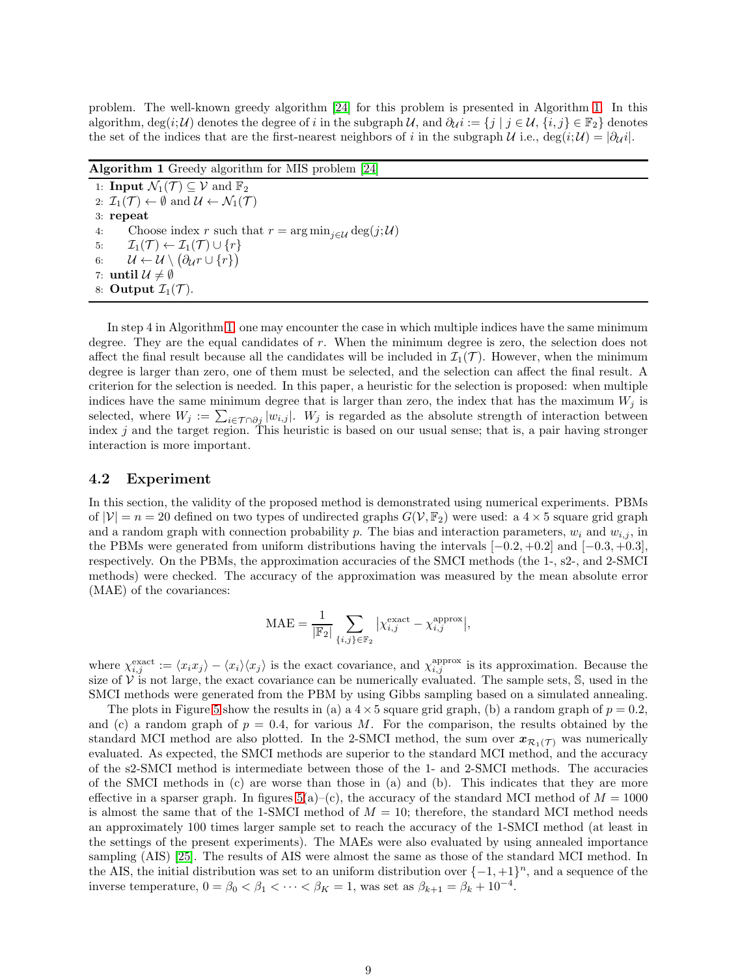problem. The well-known greedy algorithm [\[24\]](#page-15-7) for this problem is presented in Algorithm [1.](#page-8-0) In this algorithm, deg(i; U) denotes the degree of i in the subgraph U, and  $\partial_{\mathcal{U}} i := \{j \mid j \in \mathcal{U}, \{i,j\} \in \mathbb{F}_2\}$  denotes the set of the indices that are the first-nearest neighbors of i in the subgraph U i.e., deg $(i; \mathcal{U}) = |\partial_{\mathcal{U}}i|$ .

<span id="page-8-0"></span>Algorithm 1 Greedy algorithm for MIS problem [\[24\]](#page-15-7) 1: **Input**  $\mathcal{N}_1(\mathcal{T}) \subseteq \mathcal{V}$  and  $\mathbb{F}_2$ 2:  $\mathcal{I}_1(\mathcal{T}) \leftarrow \emptyset$  and  $\mathcal{U} \leftarrow \mathcal{N}_1(\mathcal{T})$ 3: repeat 4: Choose index r such that  $r = \arg \min_{i \in \mathcal{U}} \deg(j; \mathcal{U})$ 5:  $\mathcal{I}_1(\mathcal{T}) \leftarrow \mathcal{I}_1(\mathcal{T}) \cup \{r\}$ 6:  $\mathcal{U} \leftarrow \mathcal{U} \setminus (\partial_{\mathcal{U}} r \cup \{r\})$ 7: until  $\mathcal{U} \neq \emptyset$ 8: Output  $\mathcal{I}_1(\mathcal{T})$ .

In step 4 in Algorithm [1,](#page-8-0) one may encounter the case in which multiple indices have the same minimum degree. They are the equal candidates of r. When the minimum degree is zero, the selection does not affect the final result because all the candidates will be included in  $\mathcal{I}_1(\mathcal{T})$ . However, when the minimum degree is larger than zero, one of them must be selected, and the selection can affect the final result. A criterion for the selection is needed. In this paper, a heuristic for the selection is proposed: when multiple indices have the same minimum degree that is larger than zero, the index that has the maximum  $W_j$  is selected, where  $W_j := \sum_{i \in \mathcal{T} \cap \partial j} |w_{i,j}|$ .  $W_j$  is regarded as the absolute strength of interaction between index  $j$  and the target region. This heuristic is based on our usual sense; that is, a pair having stronger interaction is more important.

#### 4.2 Experiment

In this section, the validity of the proposed method is demonstrated using numerical experiments. PBMs of  $|V| = n = 20$  defined on two types of undirected graphs  $G(V, \mathbb{F}_2)$  were used: a  $4 \times 5$  square grid graph and a random graph with connection probability p. The bias and interaction parameters,  $w_i$  and  $w_{i,j}$ , in the PBMs were generated from uniform distributions having the intervals  $[-0.2, +0.2]$  and  $[-0.3, +0.3]$ , respectively. On the PBMs, the approximation accuracies of the SMCI methods (the 1-, s2-, and 2-SMCI methods) were checked. The accuracy of the approximation was measured by the mean absolute error (MAE) of the covariances:

$$
\text{MAE} = \frac{1}{|\mathbb{F}_2|} \sum_{\{i,j\} \in \mathbb{F}_2} \left| \chi_{i,j}^{\text{exact}} - \chi_{i,j}^{\text{approx}} \right|,
$$

where  $\chi_{i,j}^{\text{exact}} := \langle x_i x_j \rangle - \langle x_i \rangle \langle x_j \rangle$  is the exact covariance, and  $\chi_{i,j}^{\text{approx}}$  is its approximation. Because the size of  $\mathcal{V}$  is not large, the exact covariance can be numerically evaluated. The sample sets,  $\mathbb{S}$ , used in the SMCI methods were generated from the PBM by using Gibbs sampling based on a simulated annealing.

The plots in Figure [5](#page-9-1) show the results in (a) a  $4 \times 5$  square grid graph, (b) a random graph of  $p = 0.2$ , and (c) a random graph of  $p = 0.4$ , for various M. For the comparison, the results obtained by the standard MCI method are also plotted. In the 2-SMCI method, the sum over  $x_{\mathcal{R}_1(\mathcal{T})}$  was numerically evaluated. As expected, the SMCI methods are superior to the standard MCI method, and the accuracy of the s2-SMCI method is intermediate between those of the 1- and 2-SMCI methods. The accuracies of the SMCI methods in (c) are worse than those in (a) and (b). This indicates that they are more effective in a sparser graph. In figures  $5(a)-(c)$ , the accuracy of the standard MCI method of  $M = 1000$ is almost the same that of the 1-SMCI method of  $M = 10$ ; therefore, the standard MCI method needs an approximately 100 times larger sample set to reach the accuracy of the 1-SMCI method (at least in the settings of the present experiments). The MAEs were also evaluated by using annealed importance sampling (AIS) [\[25\]](#page-15-8). The results of AIS were almost the same as those of the standard MCI method. In the AIS, the initial distribution was set to an uniform distribution over  $\{-1, +1\}^n$ , and a sequence of the inverse temperature,  $0 = \beta_0 < \beta_1 < \cdots < \beta_K = 1$ , was set as  $\beta_{k+1} = \beta_k + 10^{-4}$ .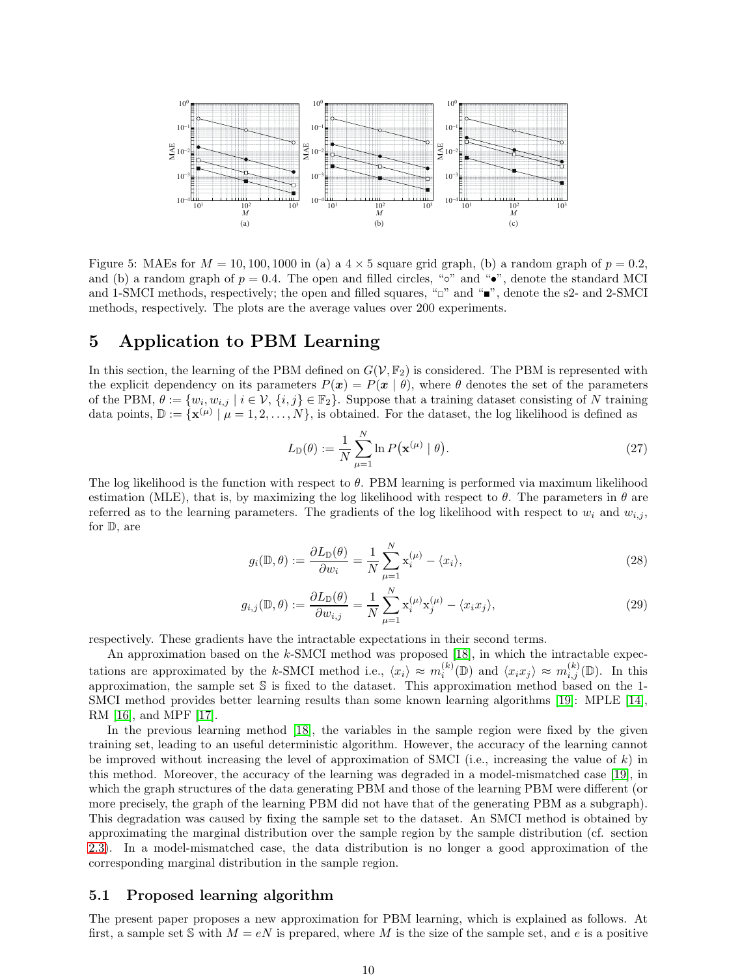

<span id="page-9-1"></span>Figure 5: MAEs for  $M = 10, 100, 1000$  in (a) a  $4 \times 5$  square grid graph, (b) a random graph of  $p = 0.2$ , and (b) a random graph of  $p = 0.4$ . The open and filled circles, "∘" and "•", denote the standard MCI and 1-SMCI methods, respectively; the open and filled squares, " $\Box$ " and " $\bullet$ ", denote the s2- and 2-SMCI methods, respectively. The plots are the average values over 200 experiments.

# <span id="page-9-0"></span>5 Application to PBM Learning

In this section, the learning of the PBM defined on  $G(V, \mathbb{F}_2)$  is considered. The PBM is represented with the explicit dependency on its parameters  $P(x) = P(x | \theta)$ , where  $\theta$  denotes the set of the parameters of the PBM,  $\theta := \{w_i, w_{i,j} \mid i \in \mathcal{V}, \{i,j\} \in \mathbb{F}_2\}$ . Suppose that a training dataset consisting of N training data points,  $\mathbb{D} := {\mathbf{x}^{(\mu)} | \mu = 1, 2, ..., N}$ , is obtained. For the dataset, the log likelihood is defined as

$$
L_{\mathbb{D}}(\theta) := \frac{1}{N} \sum_{\mu=1}^{N} \ln P(\mathbf{x}^{(\mu)} \mid \theta).
$$
 (27)

The log likelihood is the function with respect to  $\theta$ . PBM learning is performed via maximum likelihood estimation (MLE), that is, by maximizing the log likelihood with respect to  $\theta$ . The parameters in  $\theta$  are referred as to the learning parameters. The gradients of the log likelihood with respect to  $w_i$  and  $w_{i,j}$ , for D, are

$$
g_i(\mathbb{D}, \theta) := \frac{\partial L_{\mathbb{D}}(\theta)}{\partial w_i} = \frac{1}{N} \sum_{\mu=1}^N \mathbf{x}_i^{(\mu)} - \langle x_i \rangle,
$$
\n(28)

$$
g_{i,j}(\mathbb{D}, \theta) := \frac{\partial L_{\mathbb{D}}(\theta)}{\partial w_{i,j}} = \frac{1}{N} \sum_{\mu=1}^{N} \mathbf{x}_i^{(\mu)} \mathbf{x}_j^{(\mu)} - \langle x_i x_j \rangle,
$$
\n(29)

respectively. These gradients have the intractable expectations in their second terms.

An approximation based on the k-SMCI method was proposed [\[18\]](#page-15-1), in which the intractable expectations are approximated by the k-SMCI method i.e.,  $\langle x_i \rangle \approx m_i^{(k)}(\mathbb{D})$  and  $\langle x_i x_j \rangle \approx m_{i,j}^{(k)}(\mathbb{D})$ . In this approximation, the sample set S is fixed to the dataset. This approximation method based on the 1- SMCI method provides better learning results than some known learning algorithms [\[19\]](#page-15-2): MPLE [\[14\]](#page-14-13), RM [\[16\]](#page-14-15), and MPF [\[17\]](#page-15-0).

In the previous learning method [\[18\]](#page-15-1), the variables in the sample region were fixed by the given training set, leading to an useful deterministic algorithm. However, the accuracy of the learning cannot be improved without increasing the level of approximation of SMCI (i.e., increasing the value of  $k$ ) in this method. Moreover, the accuracy of the learning was degraded in a model-mismatched case [\[19\]](#page-15-2), in which the graph structures of the data generating PBM and those of the learning PBM were different (or more precisely, the graph of the learning PBM did not have that of the generating PBM as a subgraph). This degradation was caused by fixing the sample set to the dataset. An SMCI method is obtained by approximating the marginal distribution over the sample region by the sample distribution (cf. section [2.3\)](#page-3-3). In a model-mismatched case, the data distribution is no longer a good approximation of the corresponding marginal distribution in the sample region.

### 5.1 Proposed learning algorithm

The present paper proposes a new approximation for PBM learning, which is explained as follows. At first, a sample set S with  $M = eN$  is prepared, where M is the size of the sample set, and e is a positive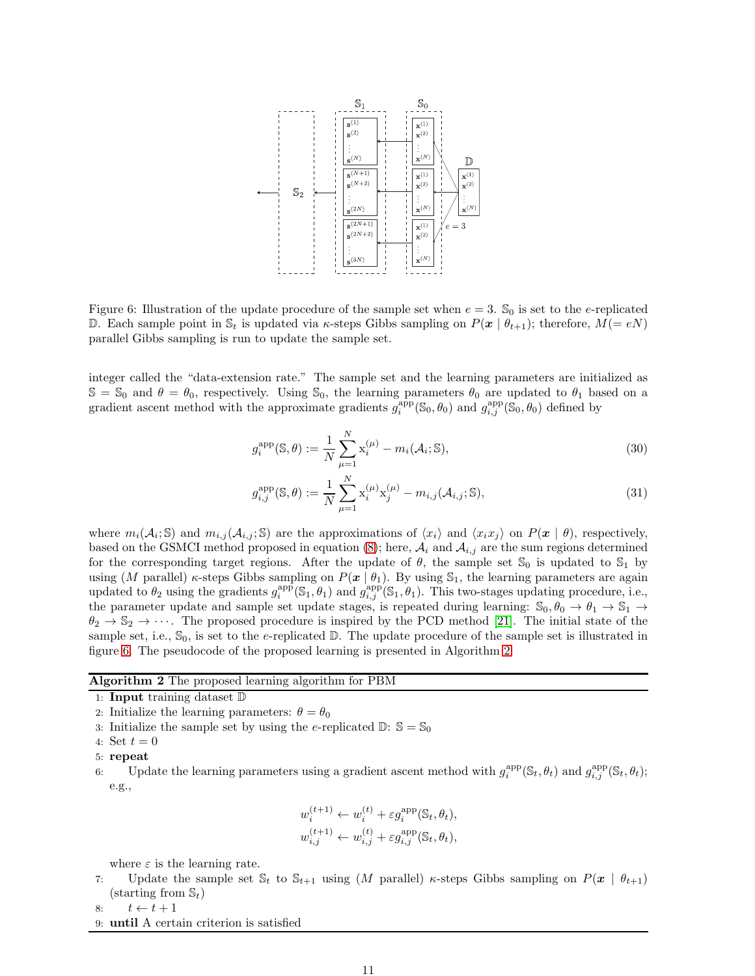

<span id="page-10-0"></span>Figure 6: Illustration of the update procedure of the sample set when  $e = 3$ . S<sub>0</sub> is set to the *e*-replicated D. Each sample point in  $\mathcal{S}_t$  is updated via  $\kappa$ -steps Gibbs sampling on  $P(\boldsymbol{x} \mid \theta_{t+1})$ ; therefore,  $M(=eN)$ parallel Gibbs sampling is run to update the sample set.

integer called the "data-extension rate." The sample set and the learning parameters are initialized as  $\mathbb{S} = \mathbb{S}_0$  and  $\theta = \theta_0$ , respectively. Using  $\mathbb{S}_0$ , the learning parameters  $\theta_0$  are updated to  $\theta_1$  based on a gradient ascent method with the approximate gradients  $g_i^{\text{app}}(\mathbb{S}_0, \theta_0)$  and  $g_{i,j}^{\text{app}}(\mathbb{S}_0, \theta_0)$  defined by

$$
g_i^{\text{app}}(\mathbb{S}, \theta) := \frac{1}{N} \sum_{\mu=1}^{N} \mathbf{x}_i^{(\mu)} - m_i(\mathcal{A}_i; \mathbb{S}),
$$
\n(30)

$$
g_{i,j}^{\text{app}}(\mathbb{S}, \theta) := \frac{1}{N} \sum_{\mu=1}^{N} \mathbf{x}_i^{(\mu)} \mathbf{x}_j^{(\mu)} - m_{i,j}(\mathcal{A}_{i,j}; \mathbb{S}), \tag{31}
$$

where  $m_i(\mathcal{A}_i; \mathbb{S})$  and  $m_{i,j}(\mathcal{A}_{i,j}; \mathbb{S})$  are the approximations of  $\langle x_i \rangle$  and  $\langle x_i x_j \rangle$  on  $P(\mathbf{x} \mid \theta)$ , respectively, based on the GSMCI method proposed in equation [\(8\)](#page-4-1); here,  $A_i$  and  $A_{i,j}$  are the sum regions determined for the corresponding target regions. After the update of  $\theta$ , the sample set  $\mathcal{S}_0$  is updated to  $\mathcal{S}_1$  by using (M parallel)  $\kappa$ -steps Gibbs sampling on  $P(\mathbf{x} \mid \theta_1)$ . By using  $\mathbb{S}_1$ , the learning parameters are again updated to  $\theta_2$  using the gradients  $g_i^{app}(\mathbb{S}_1, \theta_1)$  and  $g_{i,j}^{app}(\mathbb{S}_1, \theta_1)$ . This two-stages updating procedure, i.e., the parameter update and sample set update stages, is repeated during learning:  $\mathbb{S}_0$ ,  $\theta_0 \to \theta_1 \to \mathbb{S}_1 \to$  $\theta_2 \to \mathbb{S}_2 \to \cdots$ . The proposed procedure is inspired by the PCD method [\[21\]](#page-15-4). The initial state of the sample set, i.e.,  $\mathcal{S}_0$ , is set to the e-replicated  $\mathbb{D}$ . The update procedure of the sample set is illustrated in figure [6.](#page-10-0) The pseudocode of the proposed learning is presented in Algorithm [2.](#page-10-1)

#### <span id="page-10-1"></span>Algorithm 2 The proposed learning algorithm for PBM

- 1: Input training dataset D
- 2: Initialize the learning parameters:  $\theta = \theta_0$
- 3: Initialize the sample set by using the e-replicated  $\mathbb{D}$ :  $\mathbb{S} = \mathbb{S}_0$
- 4: Set  $t = 0$

6: Update the learning parameters using a gradient ascent method with  $g_i^{app}(\mathbb{S}_t, \theta_t)$  and  $g_{i,j}^{app}(\mathbb{S}_t, \theta_t)$ ; e.g.,

$$
w_i^{(t+1)} \leftarrow w_i^{(t)} + \varepsilon g_i^{\text{app}}(\mathbb{S}_t, \theta_t),
$$
  

$$
w_{i,j}^{(t+1)} \leftarrow w_{i,j}^{(t)} + \varepsilon g_{i,j}^{\text{app}}(\mathbb{S}_t, \theta_t),
$$

where  $\varepsilon$  is the learning rate.

7: Update the sample set  $\mathbb{S}_t$  to  $\mathbb{S}_{t+1}$  using  $(M$  parallel)  $\kappa$ -steps Gibbs sampling on  $P(\boldsymbol{x} \mid \theta_{t+1})$  $(\text{starting from } \mathbb{S}_t)$ 

8:  $t \leftarrow t + 1$ 

9: until A certain criterion is satisfied

<sup>5:</sup> repeat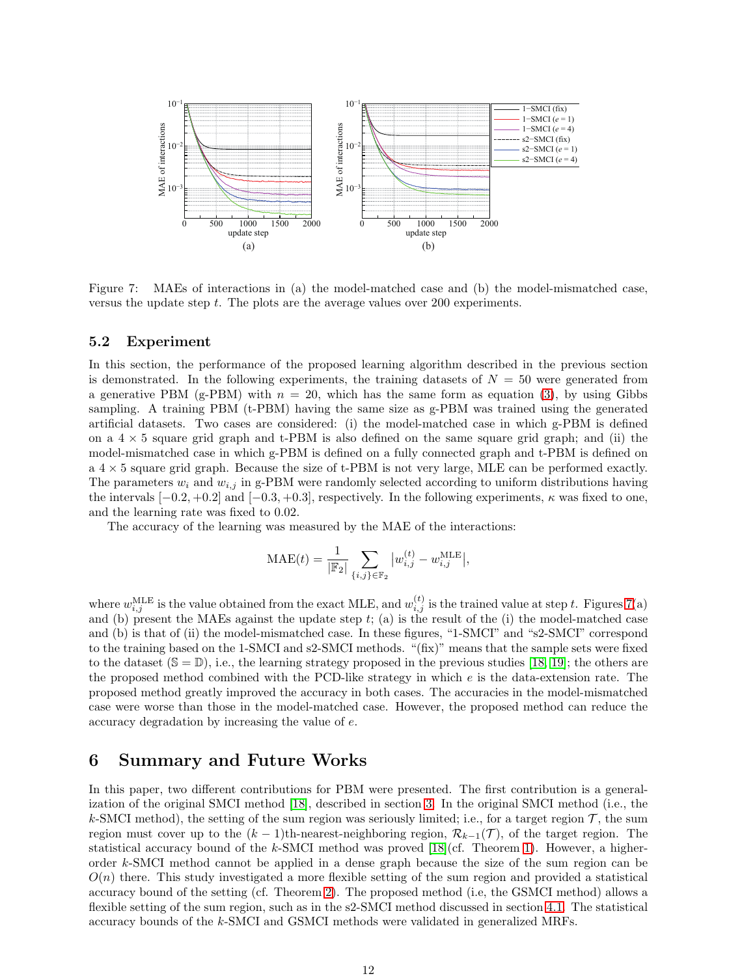

<span id="page-11-0"></span>Figure 7: MAEs of interactions in (a) the model-matched case and (b) the model-mismatched case, versus the update step t. The plots are the average values over 200 experiments.

### 5.2 Experiment

In this section, the performance of the proposed learning algorithm described in the previous section is demonstrated. In the following experiments, the training datasets of  $N = 50$  were generated from a generative PBM (g-PBM) with  $n = 20$ , which has the same form as equation [\(3\)](#page-2-3), by using Gibbs sampling. A training PBM (t-PBM) having the same size as g-PBM was trained using the generated artificial datasets. Two cases are considered: (i) the model-matched case in which g-PBM is defined on a  $4 \times 5$  square grid graph and t-PBM is also defined on the same square grid graph; and (ii) the model-mismatched case in which g-PBM is defined on a fully connected graph and t-PBM is defined on a 4 × 5 square grid graph. Because the size of t-PBM is not very large, MLE can be performed exactly. The parameters  $w_i$  and  $w_{i,j}$  in g-PBM were randomly selected according to uniform distributions having the intervals  $[-0.2, +0.2]$  and  $[-0.3, +0.3]$ , respectively. In the following experiments,  $\kappa$  was fixed to one, and the learning rate was fixed to 0.02.

The accuracy of the learning was measured by the MAE of the interactions:

$$
\text{MAE}(t) = \frac{1}{|\mathbb{F}_2|} \sum_{\{i,j\} \in \mathbb{F}_2} |w_{i,j}^{(t)} - w_{i,j}^{\text{MLE}}|,
$$

where  $w_{i,j}^{\text{MLE}}$  is the value obtained from the exact MLE, and  $w_{i,j}^{(t)}$  is the trained value at step t. Figures [7\(](#page-11-0)a) and (b) present the MAEs against the update step  $t$ ; (a) is the result of the (i) the model-matched case and (b) is that of (ii) the model-mismatched case. In these figures, "1-SMCI" and "s2-SMCI" correspond to the training based on the 1-SMCI and s2-SMCI methods. "(fix)" means that the sample sets were fixed to the dataset  $(S = D)$ , i.e., the learning strategy proposed in the previous studies [\[18,](#page-15-1) [19\]](#page-15-2); the others are the proposed method combined with the PCD-like strategy in which e is the data-extension rate. The proposed method greatly improved the accuracy in both cases. The accuracies in the model-mismatched case were worse than those in the model-matched case. However, the proposed method can reduce the accuracy degradation by increasing the value of e.

## 6 Summary and Future Works

In this paper, two different contributions for PBM were presented. The first contribution is a generalization of the original SMCI method [\[18\]](#page-15-1), described in section [3.](#page-4-0) In the original SMCI method (i.e., the k-SMCI method), the setting of the sum region was seriously limited; i.e., for a target region  $\mathcal{T}$ , the sum region must cover up to the  $(k-1)$ th-nearest-neighboring region,  $\mathcal{R}_{k-1}(\mathcal{T})$ , of the target region. The statistical accuracy bound of the k-SMCI method was proved  $[18]$ (cf. Theorem [1\)](#page-4-3). However, a higherorder k-SMCI method cannot be applied in a dense graph because the size of the sum region can be  $O(n)$  there. This study investigated a more flexible setting of the sum region and provided a statistical accuracy bound of the setting (cf. Theorem [2\)](#page-5-0). The proposed method (i.e, the GSMCI method) allows a flexible setting of the sum region, such as in the s2-SMCI method discussed in section [4.1.](#page-6-0) The statistical accuracy bounds of the k-SMCI and GSMCI methods were validated in generalized MRFs.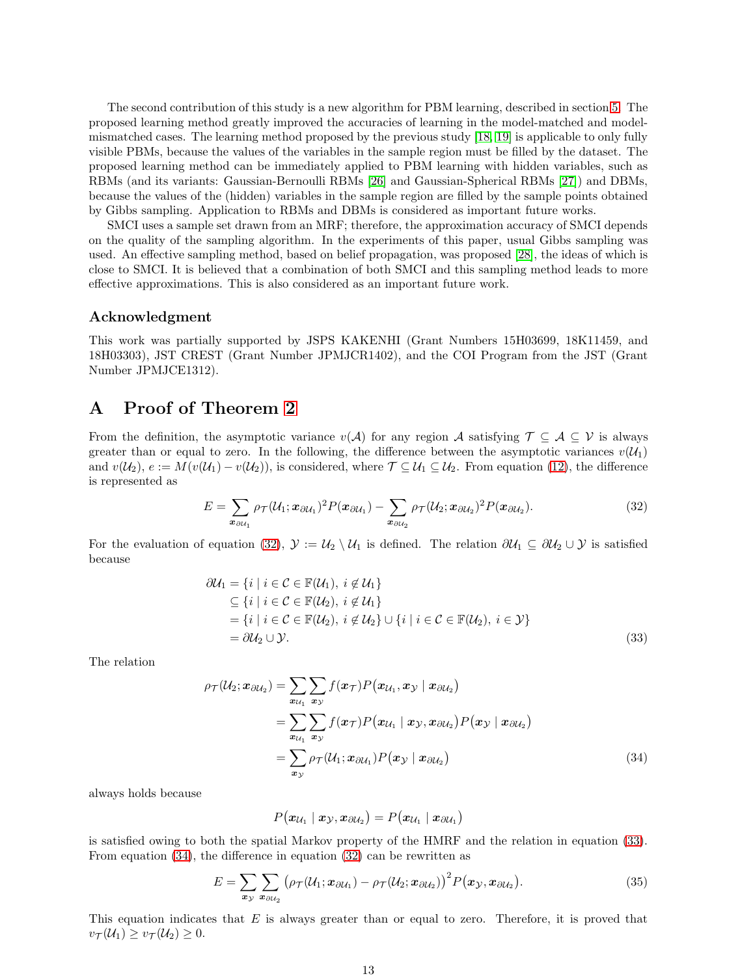The second contribution of this study is a new algorithm for PBM learning, described in section [5.](#page-9-0) The proposed learning method greatly improved the accuracies of learning in the model-matched and modelmismatched cases. The learning method proposed by the previous study [\[18,](#page-15-1) [19\]](#page-15-2) is applicable to only fully visible PBMs, because the values of the variables in the sample region must be filled by the dataset. The proposed learning method can be immediately applied to PBM learning with hidden variables, such as RBMs (and its variants: Gaussian-Bernoulli RBMs [\[26\]](#page-15-9) and Gaussian-Spherical RBMs [\[27\]](#page-15-10)) and DBMs, because the values of the (hidden) variables in the sample region are filled by the sample points obtained by Gibbs sampling. Application to RBMs and DBMs is considered as important future works.

SMCI uses a sample set drawn from an MRF; therefore, the approximation accuracy of SMCI depends on the quality of the sampling algorithm. In the experiments of this paper, usual Gibbs sampling was used. An effective sampling method, based on belief propagation, was proposed [\[28\]](#page-15-11), the ideas of which is close to SMCI. It is believed that a combination of both SMCI and this sampling method leads to more effective approximations. This is also considered as an important future work.

### Acknowledgment

This work was partially supported by JSPS KAKENHI (Grant Numbers 15H03699, 18K11459, and 18H03303), JST CREST (Grant Number JPMJCR1402), and the COI Program from the JST (Grant Number JPMJCE1312).

# <span id="page-12-0"></span>A Proof of Theorem [2](#page-5-0)

From the definition, the asymptotic variance  $v(\mathcal{A})$  for any region  $\mathcal{A}$  satisfying  $\mathcal{T} \subseteq \mathcal{A} \subseteq \mathcal{V}$  is always greater than or equal to zero. In the following, the difference between the asymptotic variances  $v(\mathcal{U}_1)$ and  $v(\mathcal{U}_2), e := M(v(\mathcal{U}_1) - v(\mathcal{U}_2))$ , is considered, where  $\mathcal{T} \subseteq \mathcal{U}_1 \subseteq \mathcal{U}_2$ . From equation [\(12\)](#page-5-4), the difference is represented as

<span id="page-12-1"></span>
$$
E = \sum_{\boldsymbol{x}_{\partial U_1}} \rho_{\mathcal{T}}(\mathcal{U}_1; \boldsymbol{x}_{\partial \mathcal{U}_1})^2 P(\boldsymbol{x}_{\partial \mathcal{U}_1}) - \sum_{\boldsymbol{x}_{\partial U_2}} \rho_{\mathcal{T}}(\mathcal{U}_2; \boldsymbol{x}_{\partial \mathcal{U}_2})^2 P(\boldsymbol{x}_{\partial \mathcal{U}_2}). \tag{32}
$$

For the evaluation of equation [\(32\)](#page-12-1),  $\mathcal{Y} := \mathcal{U}_2 \setminus \mathcal{U}_1$  is defined. The relation  $\partial \mathcal{U}_1 \subseteq \partial \mathcal{U}_2 \cup \mathcal{Y}$  is satisfied because

$$
\partial \mathcal{U}_1 = \{i \mid i \in \mathcal{C} \in \mathbb{F}(\mathcal{U}_1), i \notin \mathcal{U}_1\} \n\subseteq \{i \mid i \in \mathcal{C} \in \mathbb{F}(\mathcal{U}_2), i \notin \mathcal{U}_1\} \n= \{i \mid i \in \mathcal{C} \in \mathbb{F}(\mathcal{U}_2), i \notin \mathcal{U}_2\} \cup \{i \mid i \in \mathcal{C} \in \mathbb{F}(\mathcal{U}_2), i \in \mathcal{Y}\} \n= \partial \mathcal{U}_2 \cup \mathcal{Y}.
$$
\n(33)

The relation

$$
\rho_{\mathcal{T}}(\mathcal{U}_2; \mathbf{x}_{\partial \mathcal{U}_2}) = \sum_{\mathbf{x}_{\mathcal{U}_1}} \sum_{\mathbf{x}_{\mathcal{Y}}} f(\mathbf{x}_{\mathcal{T}}) P(\mathbf{x}_{\mathcal{U}_1}, \mathbf{x}_{\mathcal{Y}} | \mathbf{x}_{\partial \mathcal{U}_2})
$$
  
\n
$$
= \sum_{\mathbf{x}_{\mathcal{U}_1}} \sum_{\mathbf{x}_{\mathcal{Y}}} f(\mathbf{x}_{\mathcal{T}}) P(\mathbf{x}_{\mathcal{U}_1} | \mathbf{x}_{\mathcal{Y}}, \mathbf{x}_{\partial \mathcal{U}_2}) P(\mathbf{x}_{\mathcal{Y}} | \mathbf{x}_{\partial \mathcal{U}_2})
$$
  
\n
$$
= \sum_{\mathbf{x}_{\mathcal{Y}}} \rho_{\mathcal{T}}(\mathcal{U}_1; \mathbf{x}_{\partial \mathcal{U}_1}) P(\mathbf{x}_{\mathcal{Y}} | \mathbf{x}_{\partial \mathcal{U}_2})
$$
(34)

always holds because

<span id="page-12-3"></span><span id="page-12-2"></span>
$$
P\big(\pmb{x}_{\mathcal{U}_1} \mid \pmb{x}_{\mathcal{Y}}, \pmb{x}_{\partial \mathcal{U}_2}\big) = P\big(\pmb{x}_{\mathcal{U}_1} \mid \pmb{x}_{\partial \mathcal{U}_1}\big)
$$

is satisfied owing to both the spatial Markov property of the HMRF and the relation in equation [\(33\)](#page-12-2). From equation [\(34\)](#page-12-3), the difference in equation [\(32\)](#page-12-1) can be rewritten as

$$
E = \sum_{\boldsymbol{x}_{\mathcal{Y}}} \sum_{\boldsymbol{x}_{\partial \mathcal{U}_2}} \left( \rho_{\mathcal{T}}(\mathcal{U}_1; \boldsymbol{x}_{\partial \mathcal{U}_1}) - \rho_{\mathcal{T}}(\mathcal{U}_2; \boldsymbol{x}_{\partial \mathcal{U}_2}) \right)^2 P(\boldsymbol{x}_{\mathcal{Y}}, \boldsymbol{x}_{\partial \mathcal{U}_2}). \tag{35}
$$

This equation indicates that E is always greater than or equal to zero. Therefore, it is proved that  $v_{\mathcal{T}}(\mathcal{U}_1) \ge v_{\mathcal{T}}(\mathcal{U}_2) \ge 0.$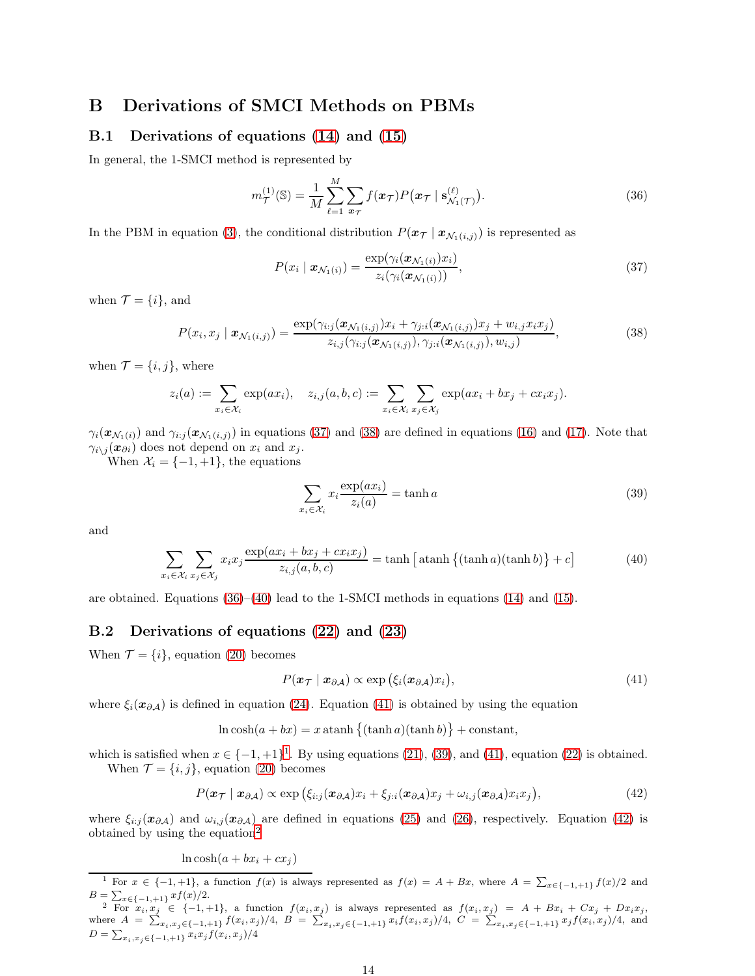# <span id="page-13-0"></span>B Derivations of SMCI Methods on PBMs

## B.1 Derivations of equations [\(14\)](#page-6-1) and [\(15\)](#page-6-2)

In general, the 1-SMCI method is represented by

$$
m_{\mathcal{T}}^{(1)}(\mathbb{S}) = \frac{1}{M} \sum_{\ell=1}^{M} \sum_{\boldsymbol{x}\tau} f(\boldsymbol{x}\tau) P(\boldsymbol{x}\tau \mid \mathbf{s}_{\mathcal{N}_1(\mathcal{T})}^{(\ell)}).
$$
 (36)

In the PBM in equation [\(3\)](#page-2-3), the conditional distribution  $P(\mathbf{x}_{\mathcal{T}} | \mathbf{x}_{\mathcal{N}_1(i,j)})$  is represented as

<span id="page-13-4"></span><span id="page-13-3"></span><span id="page-13-2"></span>
$$
P(x_i \mid \boldsymbol{x}_{\mathcal{N}_1(i)}) = \frac{\exp(\gamma_i(\boldsymbol{x}_{\mathcal{N}_1(i)})x_i)}{z_i(\gamma_i(\boldsymbol{x}_{\mathcal{N}_1(i)}))},
$$
\n(37)

when  $\mathcal{T} = \{i\}$ , and

$$
P(x_i, x_j | \mathbf{x}_{\mathcal{N}_1(i,j)}) = \frac{\exp(\gamma_{i:j}(\mathbf{x}_{\mathcal{N}_1(i,j)})x_i + \gamma_{j:i}(\mathbf{x}_{\mathcal{N}_1(i,j)})x_j + w_{i,j}x_ix_j)}{z_{i,j}(\gamma_{i:j}(\mathbf{x}_{\mathcal{N}_1(i,j)}), \gamma_{j:i}(\mathbf{x}_{\mathcal{N}_1(i,j)}), w_{i,j})},
$$
(38)

when  $\mathcal{T} = \{i, j\}$ , where

$$
z_i(a) := \sum_{x_i \in \mathcal{X}_i} \exp(ax_i), \quad z_{i,j}(a,b,c) := \sum_{x_i \in \mathcal{X}_i} \sum_{x_j \in \mathcal{X}_j} \exp(ax_i + bx_j + cx_ix_j).
$$

 $\gamma_i(\mathbf{x}_{\mathcal{N}_1(i)})$  and  $\gamma_{i,j}(\mathbf{x}_{\mathcal{N}_1(i,j)})$  in equations [\(37\)](#page-13-2) and [\(38\)](#page-13-3) are defined in equations [\(16\)](#page-6-6) and [\(17\)](#page-6-7). Note that  $\gamma_{i\setminus j}(\boldsymbol{x}_{\partial i})$  does not depend on  $x_i$  and  $x_j$ .

When  $\mathcal{X}_i = \{-1, +1\}$ , the equations

<span id="page-13-8"></span><span id="page-13-5"></span>
$$
\sum_{x_i \in \mathcal{X}_i} x_i \frac{\exp(ax_i)}{z_i(a)} = \tanh a \tag{39}
$$

and

$$
\sum_{x_i \in \mathcal{X}_i} \sum_{x_j \in \mathcal{X}_j} x_i x_j \frac{\exp(ax_i + bx_j + cx_i x_j)}{z_{i,j}(a, b, c)} = \tanh\left[\operatorname{atanh}\left\{(\tanh a)(\tanh b)\right\} + c\right] \tag{40}
$$

are obtained. Equations  $(36)$ – $(40)$  lead to the 1-SMCI methods in equations  $(14)$  and  $(15)$ .

### <span id="page-13-1"></span>B.2 Derivations of equations [\(22\)](#page-7-1) and [\(23\)](#page-7-2)

When  $\mathcal{T} = \{i\}$ , equation [\(20\)](#page-6-5) becomes

<span id="page-13-9"></span><span id="page-13-6"></span>
$$
P(\boldsymbol{x}_{\mathcal{T}} \mid \boldsymbol{x}_{\partial \mathcal{A}}) \propto \exp\left(\xi_i(\boldsymbol{x}_{\partial \mathcal{A}})x_i\right),\tag{41}
$$

where  $\xi_i(x_{\partial\mathcal{A}})$  is defined in equation [\(24\)](#page-7-3). Equation [\(41\)](#page-13-6) is obtained by using the equation

 $\ln \cosh(a + bx) = x \operatorname{atanh} \{(\tanh a)(\tanh b)\} + \text{constant},$ 

which is satisfied when  $x \in \{-1, +1\}^1$  $x \in \{-1, +1\}^1$  $x \in \{-1, +1\}^1$ . By using equations [\(21\)](#page-7-0), [\(39\)](#page-13-8), and [\(41\)](#page-13-6), equation [\(22\)](#page-7-1) is obtained. When  $\mathcal{T} = \{i, j\}$ , equation [\(20\)](#page-6-5) becomes

$$
P(\boldsymbol{x}_{\mathcal{T}} \mid \boldsymbol{x}_{\partial \mathcal{A}}) \propto \exp \left( \xi_{i:j}(\boldsymbol{x}_{\partial \mathcal{A}}) x_i + \xi_{j:i}(\boldsymbol{x}_{\partial \mathcal{A}}) x_j + \omega_{i,j}(\boldsymbol{x}_{\partial \mathcal{A}}) x_i x_j \right),\tag{42}
$$

where  $\xi_{i:j}(\bm{x}_{\partial\mathcal{A}})$  and  $\omega_{i,j}(\bm{x}_{\partial\mathcal{A}})$  are defined in equations [\(25\)](#page-7-5) and [\(26\)](#page-7-4), respectively. Equation [\(42\)](#page-13-9) is obtained by using the equation<sup>[2](#page-13-10)</sup>

 $\ln \cosh(a + bx_i + cx_j)$ 

<span id="page-13-7"></span><sup>&</sup>lt;sup>1</sup> For  $x \in \{-1, +1\}$ , a function  $f(x)$  is always represented as  $f(x) = A + Bx$ , where  $A = \sum_{x \in \{-1, +1\}} f(x)/2$  and  $B = \sum_{x \in \{-1, +1\}} x f(x)/2.$ 

<span id="page-13-10"></span><sup>&</sup>lt;sup>2</sup> For  $x_i, x_j \in \{-1, +1\}$ , a function  $f(x_i, x_j)$  is always represented as  $f(x_i, x_j) = A + Bx_i + Cx_j + Dx_i x_j$ where  $A = \sum_{x_i, x_j \in \{-1, +1\}} f(x_i, x_j) / 4$ ,  $B = \sum_{x_i, x_j \in \{-1, +1\}} x_i f(x_i, x_j) / 4$ ,  $C = \sum_{x_i, x_j \in \{-1, +1\}} x_j f(x_i, x_j) / 4$ , and  $D = \sum_{x_i, x_j \in \{-1, +1\}} x_i x_j f(x_i, x_j) / 4$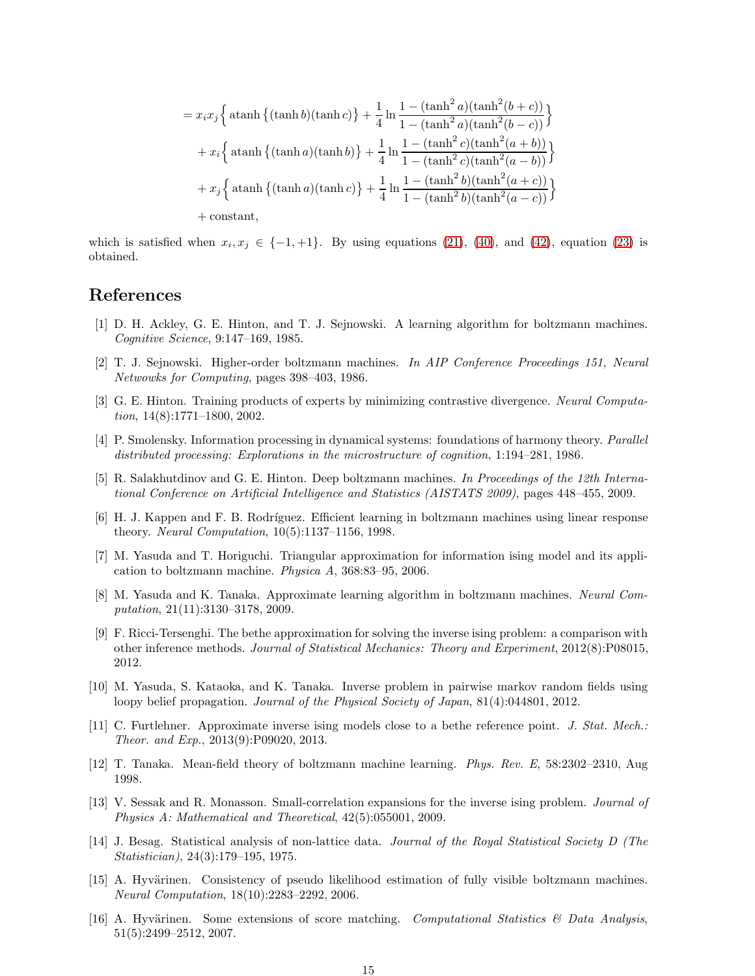$$
= x_i x_j \left\{ \tanh\left\{ (\tanh b)(\tanh c) \right\} + \frac{1}{4} \ln \frac{1 - (\tanh^2 a)(\tanh^2(b + c))}{1 - (\tanh^2 a)(\tanh^2(b - c))} \right\}
$$

$$
+ x_i \left\{ \tanh\left\{ (\tanh a)(\tanh b) \right\} + \frac{1}{4} \ln \frac{1 - (\tanh^2 c)(\tanh^2(a + b))}{1 - (\tanh^2 c)(\tanh^2(a - b))} \right\}
$$

$$
+ x_j \left\{ \tanh\left\{ (\tanh a)(\tanh c) \right\} + \frac{1}{4} \ln \frac{1 - (\tanh^2 b)(\tanh^2(a + c))}{1 - (\tanh^2 b)(\tanh^2(a - c))} \right\}
$$

+ constant,

which is satisfied when  $x_i, x_j \in \{-1, +1\}$ . By using equations [\(21\)](#page-7-0), [\(40\)](#page-13-5), and [\(42\)](#page-13-9), equation [\(23\)](#page-7-2) is obtained.

# <span id="page-14-0"></span>References

- [1] D. H. Ackley, G. E. Hinton, and T. J. Sejnowski. A learning algorithm for boltzmann machines. *Cognitive Science*, 9:147–169, 1985.
- <span id="page-14-2"></span><span id="page-14-1"></span>[2] T. J. Sejnowski. Higher-order boltzmann machines. *In AIP Conference Proceedings 151, Neural Netwowks for Computing*, pages 398–403, 1986.
- [3] G. E. Hinton. Training products of experts by minimizing contrastive divergence. *Neural Computation*, 14(8):1771–1800, 2002.
- <span id="page-14-3"></span>[4] P. Smolensky. Information processing in dynamical systems: foundations of harmony theory. *Parallel distributed processing: Explorations in the microstructure of cognition*, 1:194–281, 1986.
- <span id="page-14-4"></span>[5] R. Salakhutdinov and G. E. Hinton. Deep boltzmann machines. *In Proceedings of the 12th International Conference on Artificial Intelligence and Statistics (AISTATS 2009)*, pages 448–455, 2009.
- <span id="page-14-5"></span>[6] H. J. Kappen and F. B. Rodr´ıguez. Efficient learning in boltzmann machines using linear response theory. *Neural Computation*, 10(5):1137–1156, 1998.
- <span id="page-14-6"></span>[7] M. Yasuda and T. Horiguchi. Triangular approximation for information ising model and its application to boltzmann machine. *Physica A*, 368:83–95, 2006.
- <span id="page-14-7"></span>[8] M. Yasuda and K. Tanaka. Approximate learning algorithm in boltzmann machines. *Neural Computation*, 21(11):3130–3178, 2009.
- <span id="page-14-8"></span>[9] F. Ricci-Tersenghi. The bethe approximation for solving the inverse ising problem: a comparison with other inference methods. *Journal of Statistical Mechanics: Theory and Experiment*, 2012(8):P08015, 2012.
- <span id="page-14-9"></span>[10] M. Yasuda, S. Kataoka, and K. Tanaka. Inverse problem in pairwise markov random fields using loopy belief propagation. *Journal of the Physical Society of Japan*, 81(4):044801, 2012.
- <span id="page-14-10"></span>[11] C. Furtlehner. Approximate inverse ising models close to a bethe reference point. *J. Stat. Mech.: Theor. and Exp.*, 2013(9):P09020, 2013.
- <span id="page-14-12"></span><span id="page-14-11"></span>[12] T. Tanaka. Mean-field theory of boltzmann machine learning. *Phys. Rev. E*, 58:2302–2310, Aug 1998.
- [13] V. Sessak and R. Monasson. Small-correlation expansions for the inverse ising problem. *Journal of Physics A: Mathematical and Theoretical*, 42(5):055001, 2009.
- <span id="page-14-13"></span>[14] J. Besag. Statistical analysis of non-lattice data. *Journal of the Royal Statistical Society D (The Statistician)*, 24(3):179–195, 1975.
- <span id="page-14-14"></span>[15] A. Hyvärinen. Consistency of pseudo likelihood estimation of fully visible boltzmann machines. *Neural Computation*, 18(10):2283–2292, 2006.
- <span id="page-14-15"></span>[16] A. Hyvärinen. Some extensions of score matching. *Computational Statistics & Data Analysis*, 51(5):2499–2512, 2007.